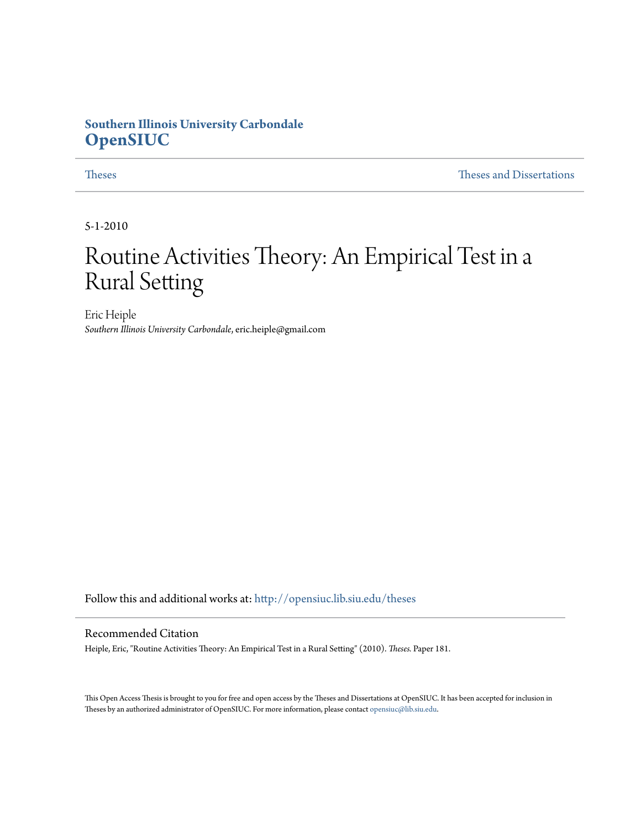# **Southern Illinois University Carbondale [OpenSIUC](http://opensiuc.lib.siu.edu?utm_source=opensiuc.lib.siu.edu%2Ftheses%2F181&utm_medium=PDF&utm_campaign=PDFCoverPages)**

[Theses](http://opensiuc.lib.siu.edu/theses?utm_source=opensiuc.lib.siu.edu%2Ftheses%2F181&utm_medium=PDF&utm_campaign=PDFCoverPages) and Dissertations and [Theses and Dissertations](http://opensiuc.lib.siu.edu/etd?utm_source=opensiuc.lib.siu.edu%2Ftheses%2F181&utm_medium=PDF&utm_campaign=PDFCoverPages) and Theses and Dissertations and Theses and Dissertations and  $\Gamma$ 

5-1-2010

# Routine Activities Theory: An Empirical Test in a Rural Setting

Eric Heiple *Southern Illinois University Carbondale*, eric.heiple@gmail.com

Follow this and additional works at: [http://opensiuc.lib.siu.edu/theses](http://opensiuc.lib.siu.edu/theses?utm_source=opensiuc.lib.siu.edu%2Ftheses%2F181&utm_medium=PDF&utm_campaign=PDFCoverPages)

#### Recommended Citation

Heiple, Eric, "Routine Activities Theory: An Empirical Test in a Rural Setting" (2010). *Theses.* Paper 181.

This Open Access Thesis is brought to you for free and open access by the Theses and Dissertations at OpenSIUC. It has been accepted for inclusion in Theses by an authorized administrator of OpenSIUC. For more information, please contact [opensiuc@lib.siu.edu](mailto:opensiuc@lib.siu.edu).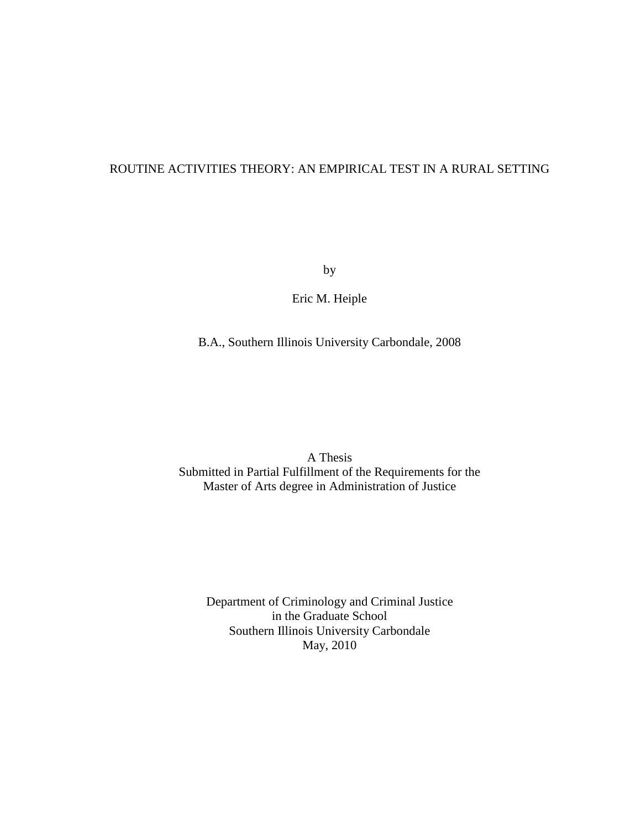# ROUTINE ACTIVITIES THEORY: AN EMPIRICAL TEST IN A RURAL SETTING

by

Eric M. Heiple

B.A., Southern Illinois University Carbondale, 2008

A Thesis Submitted in Partial Fulfillment of the Requirements for the Master of Arts degree in Administration of Justice

Department of Criminology and Criminal Justice in the Graduate School Southern Illinois University Carbondale May, 2010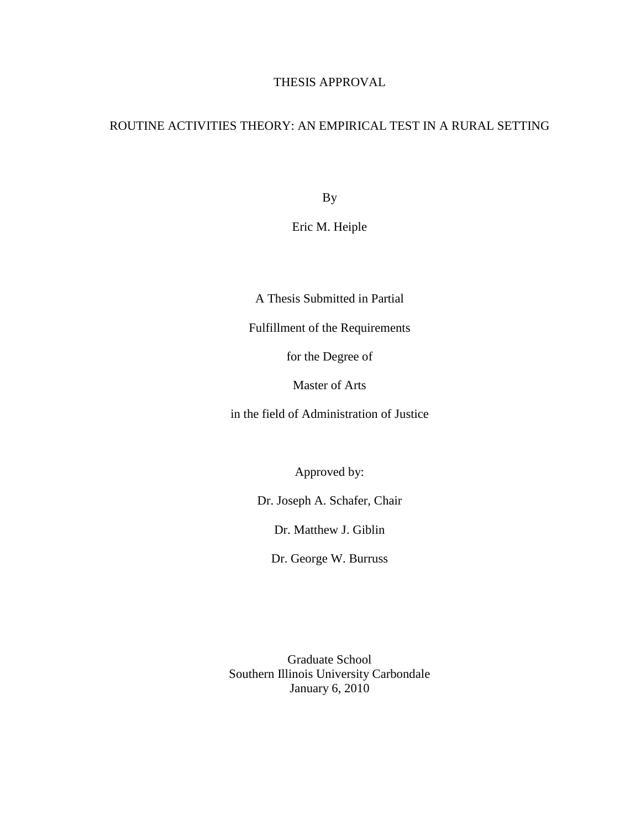# THESIS APPROVAL

# ROUTINE ACTIVITIES THEORY: AN EMPIRICAL TEST IN A RURAL SETTING

By

Eric M. Heiple

A Thesis Submitted in Partial

Fulfillment of the Requirements

for the Degree of

Master of Arts

in the field of Administration of Justice

Approved by:

Dr. Joseph A. Schafer, Chair

Dr. Matthew J. Giblin

Dr. George W. Burruss

Graduate School Southern Illinois University Carbondale January 6, 2010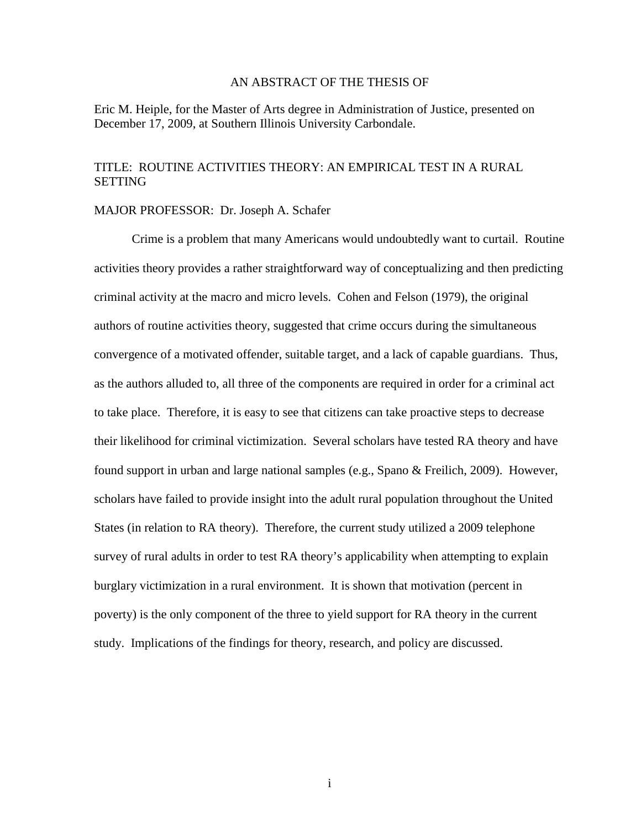#### AN ABSTRACT OF THE THESIS OF

Eric M. Heiple, for the Master of Arts degree in Administration of Justice, presented on December 17, 2009, at Southern Illinois University Carbondale.

# TITLE: ROUTINE ACTIVITIES THEORY: AN EMPIRICAL TEST IN A RURAL **SETTING**

#### MAJOR PROFESSOR: Dr. Joseph A. Schafer

 Crime is a problem that many Americans would undoubtedly want to curtail. Routine activities theory provides a rather straightforward way of conceptualizing and then predicting criminal activity at the macro and micro levels. Cohen and Felson (1979), the original authors of routine activities theory, suggested that crime occurs during the simultaneous convergence of a motivated offender, suitable target, and a lack of capable guardians. Thus, as the authors alluded to, all three of the components are required in order for a criminal act to take place. Therefore, it is easy to see that citizens can take proactive steps to decrease their likelihood for criminal victimization. Several scholars have tested RA theory and have found support in urban and large national samples (e.g., Spano & Freilich, 2009). However, scholars have failed to provide insight into the adult rural population throughout the United States (in relation to RA theory). Therefore, the current study utilized a 2009 telephone survey of rural adults in order to test RA theory's applicability when attempting to explain burglary victimization in a rural environment. It is shown that motivation (percent in poverty) is the only component of the three to yield support for RA theory in the current study. Implications of the findings for theory, research, and policy are discussed.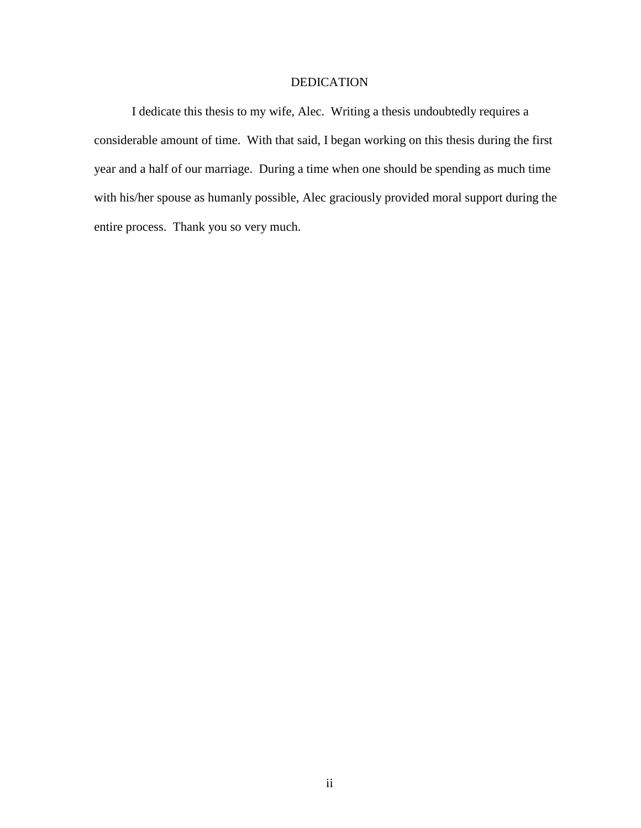### DEDICATION

I dedicate this thesis to my wife, Alec. Writing a thesis undoubtedly requires a considerable amount of time. With that said, I began working on this thesis during the first year and a half of our marriage. During a time when one should be spending as much time with his/her spouse as humanly possible, Alec graciously provided moral support during the entire process. Thank you so very much.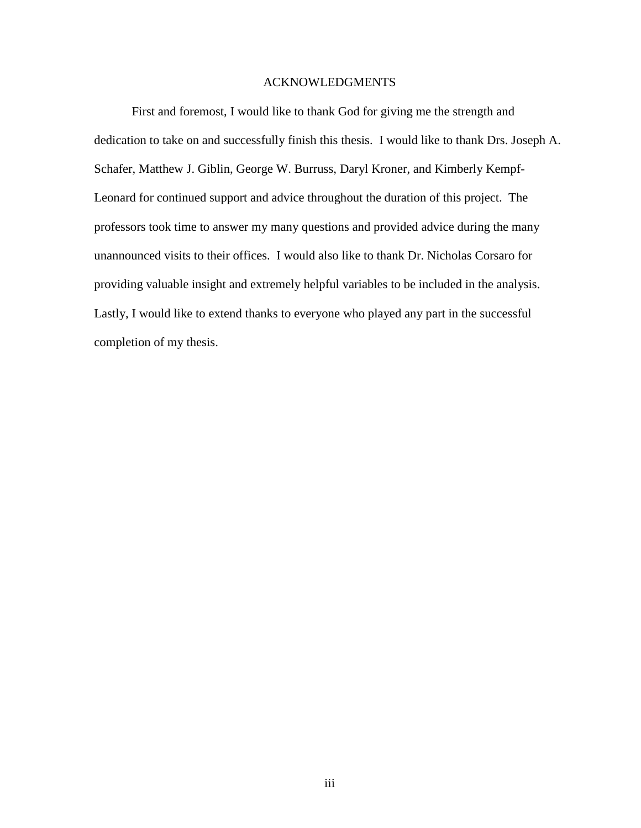#### ACKNOWLEDGMENTS

First and foremost, I would like to thank God for giving me the strength and dedication to take on and successfully finish this thesis. I would like to thank Drs. Joseph A. Schafer, Matthew J. Giblin, George W. Burruss, Daryl Kroner, and Kimberly Kempf-Leonard for continued support and advice throughout the duration of this project. The professors took time to answer my many questions and provided advice during the many unannounced visits to their offices. I would also like to thank Dr. Nicholas Corsaro for providing valuable insight and extremely helpful variables to be included in the analysis. Lastly, I would like to extend thanks to everyone who played any part in the successful completion of my thesis.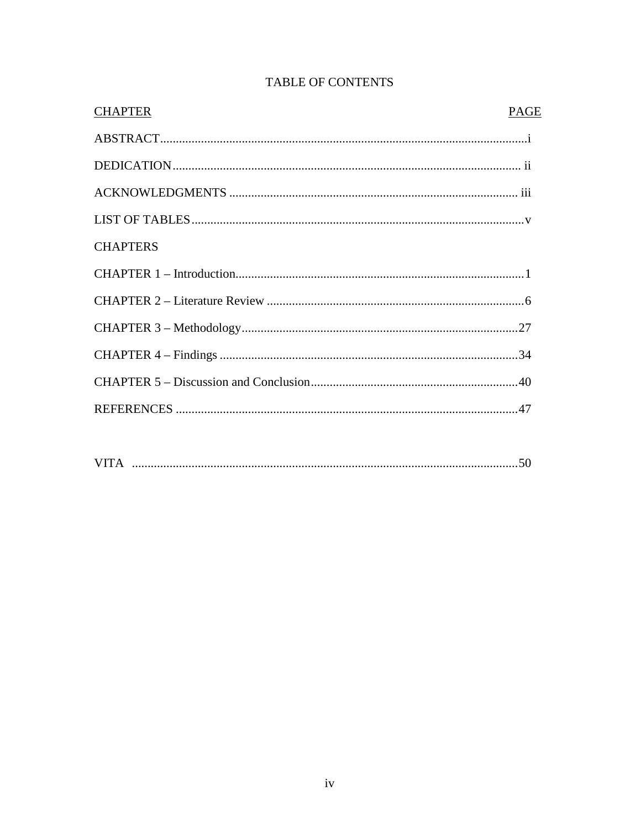| <b>CHAPTER</b>  | PAGE |
|-----------------|------|
|                 |      |
|                 |      |
|                 |      |
|                 |      |
| <b>CHAPTERS</b> |      |
|                 |      |
|                 |      |
|                 |      |
|                 |      |
|                 |      |
|                 |      |
|                 |      |

# **TABLE OF CONTENTS**

| <b>VITA</b> |
|-------------|
|-------------|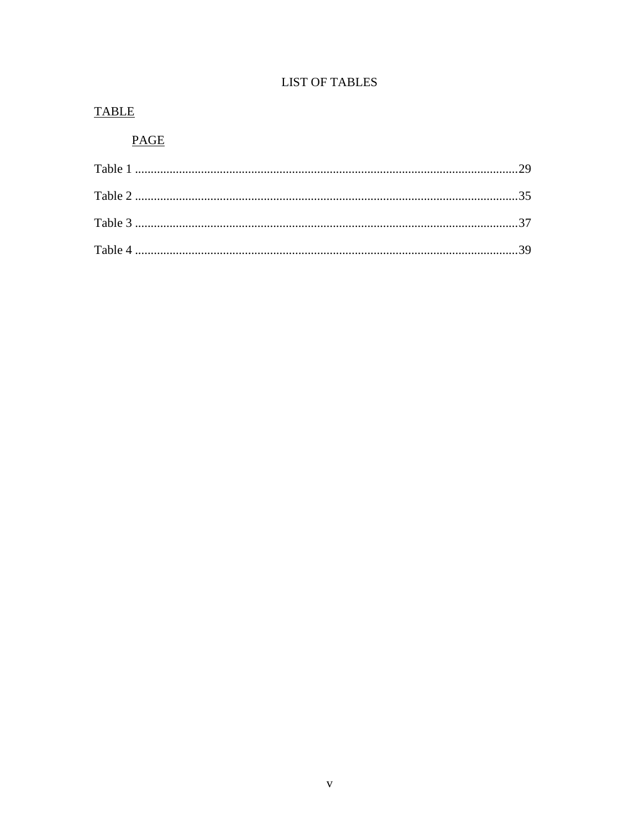# **LIST OF TABLES**

# **TABLE**

# **PAGE**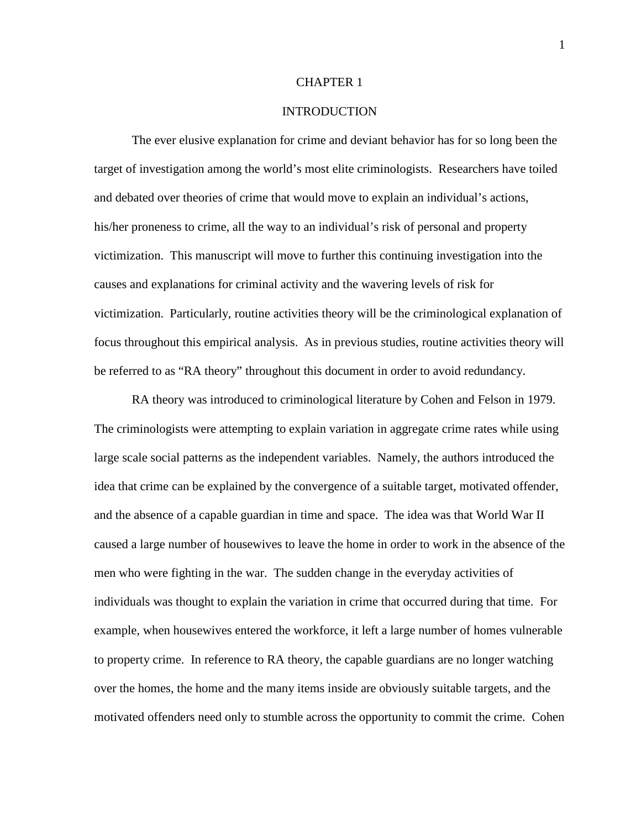#### CHAPTER 1

#### **INTRODUCTION**

The ever elusive explanation for crime and deviant behavior has for so long been the target of investigation among the world's most elite criminologists. Researchers have toiled and debated over theories of crime that would move to explain an individual's actions, his/her proneness to crime, all the way to an individual's risk of personal and property victimization. This manuscript will move to further this continuing investigation into the causes and explanations for criminal activity and the wavering levels of risk for victimization. Particularly, routine activities theory will be the criminological explanation of focus throughout this empirical analysis. As in previous studies, routine activities theory will be referred to as "RA theory" throughout this document in order to avoid redundancy.

RA theory was introduced to criminological literature by Cohen and Felson in 1979. The criminologists were attempting to explain variation in aggregate crime rates while using large scale social patterns as the independent variables. Namely, the authors introduced the idea that crime can be explained by the convergence of a suitable target, motivated offender, and the absence of a capable guardian in time and space. The idea was that World War II caused a large number of housewives to leave the home in order to work in the absence of the men who were fighting in the war. The sudden change in the everyday activities of individuals was thought to explain the variation in crime that occurred during that time. For example, when housewives entered the workforce, it left a large number of homes vulnerable to property crime. In reference to RA theory, the capable guardians are no longer watching over the homes, the home and the many items inside are obviously suitable targets, and the motivated offenders need only to stumble across the opportunity to commit the crime. Cohen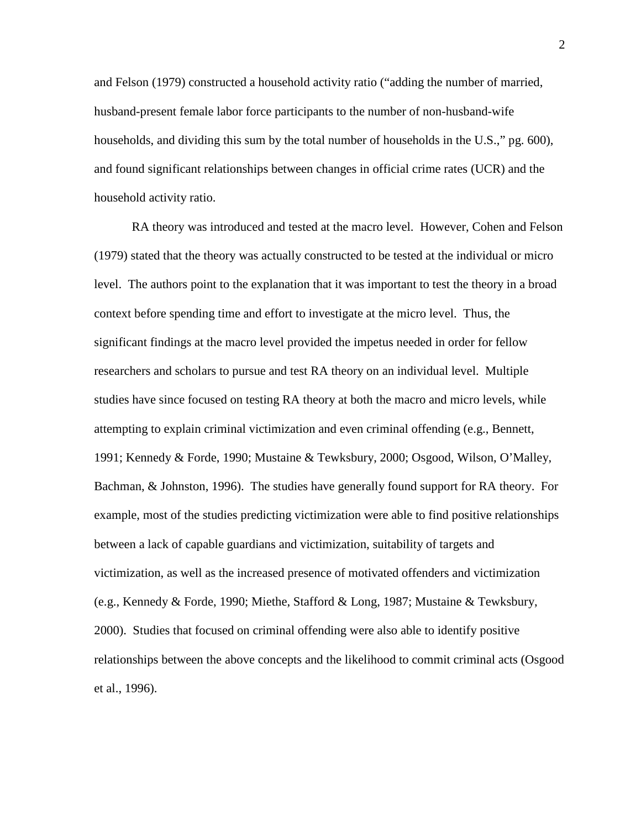and Felson (1979) constructed a household activity ratio ("adding the number of married, husband-present female labor force participants to the number of non-husband-wife households, and dividing this sum by the total number of households in the U.S.," pg. 600), and found significant relationships between changes in official crime rates (UCR) and the household activity ratio.

RA theory was introduced and tested at the macro level. However, Cohen and Felson (1979) stated that the theory was actually constructed to be tested at the individual or micro level. The authors point to the explanation that it was important to test the theory in a broad context before spending time and effort to investigate at the micro level. Thus, the significant findings at the macro level provided the impetus needed in order for fellow researchers and scholars to pursue and test RA theory on an individual level. Multiple studies have since focused on testing RA theory at both the macro and micro levels, while attempting to explain criminal victimization and even criminal offending (e.g., Bennett, 1991; Kennedy & Forde, 1990; Mustaine & Tewksbury, 2000; Osgood, Wilson, O'Malley, Bachman, & Johnston, 1996). The studies have generally found support for RA theory. For example, most of the studies predicting victimization were able to find positive relationships between a lack of capable guardians and victimization, suitability of targets and victimization, as well as the increased presence of motivated offenders and victimization (e.g., Kennedy & Forde, 1990; Miethe, Stafford & Long, 1987; Mustaine & Tewksbury, 2000). Studies that focused on criminal offending were also able to identify positive relationships between the above concepts and the likelihood to commit criminal acts (Osgood et al., 1996).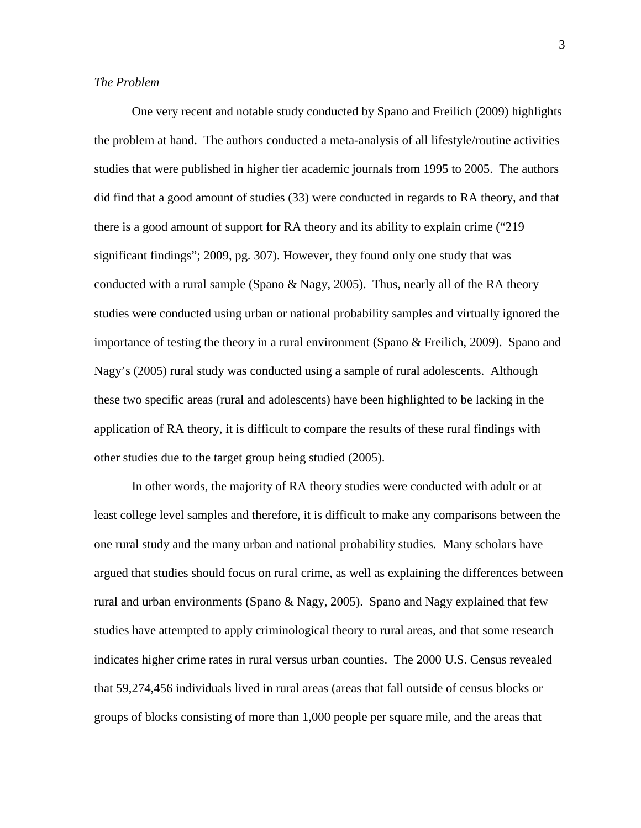#### *The Problem*

One very recent and notable study conducted by Spano and Freilich (2009) highlights the problem at hand. The authors conducted a meta-analysis of all lifestyle/routine activities studies that were published in higher tier academic journals from 1995 to 2005. The authors did find that a good amount of studies (33) were conducted in regards to RA theory, and that there is a good amount of support for RA theory and its ability to explain crime ("219 significant findings"; 2009, pg. 307). However, they found only one study that was conducted with a rural sample (Spano & Nagy, 2005). Thus, nearly all of the RA theory studies were conducted using urban or national probability samples and virtually ignored the importance of testing the theory in a rural environment (Spano & Freilich, 2009). Spano and Nagy's (2005) rural study was conducted using a sample of rural adolescents. Although these two specific areas (rural and adolescents) have been highlighted to be lacking in the application of RA theory, it is difficult to compare the results of these rural findings with other studies due to the target group being studied (2005).

In other words, the majority of RA theory studies were conducted with adult or at least college level samples and therefore, it is difficult to make any comparisons between the one rural study and the many urban and national probability studies. Many scholars have argued that studies should focus on rural crime, as well as explaining the differences between rural and urban environments (Spano & Nagy, 2005). Spano and Nagy explained that few studies have attempted to apply criminological theory to rural areas, and that some research indicates higher crime rates in rural versus urban counties. The 2000 U.S. Census revealed that 59,274,456 individuals lived in rural areas (areas that fall outside of census blocks or groups of blocks consisting of more than 1,000 people per square mile, and the areas that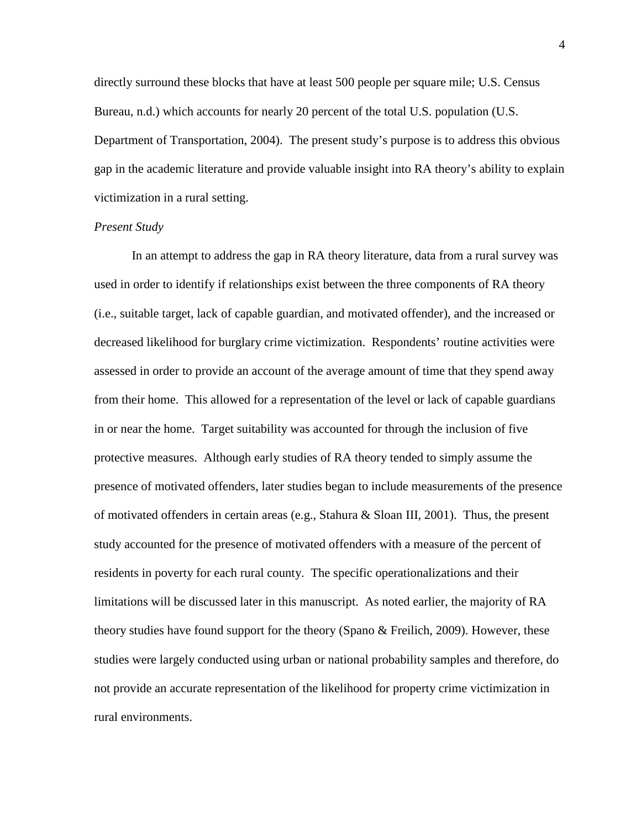directly surround these blocks that have at least 500 people per square mile; U.S. Census Bureau, n.d.) which accounts for nearly 20 percent of the total U.S. population (U.S. Department of Transportation, 2004). The present study's purpose is to address this obvious gap in the academic literature and provide valuable insight into RA theory's ability to explain victimization in a rural setting.

#### *Present Study*

In an attempt to address the gap in RA theory literature, data from a rural survey was used in order to identify if relationships exist between the three components of RA theory (i.e., suitable target, lack of capable guardian, and motivated offender), and the increased or decreased likelihood for burglary crime victimization. Respondents' routine activities were assessed in order to provide an account of the average amount of time that they spend away from their home. This allowed for a representation of the level or lack of capable guardians in or near the home. Target suitability was accounted for through the inclusion of five protective measures. Although early studies of RA theory tended to simply assume the presence of motivated offenders, later studies began to include measurements of the presence of motivated offenders in certain areas (e.g., Stahura & Sloan III, 2001). Thus, the present study accounted for the presence of motivated offenders with a measure of the percent of residents in poverty for each rural county. The specific operationalizations and their limitations will be discussed later in this manuscript. As noted earlier, the majority of RA theory studies have found support for the theory (Spano & Freilich, 2009). However, these studies were largely conducted using urban or national probability samples and therefore, do not provide an accurate representation of the likelihood for property crime victimization in rural environments.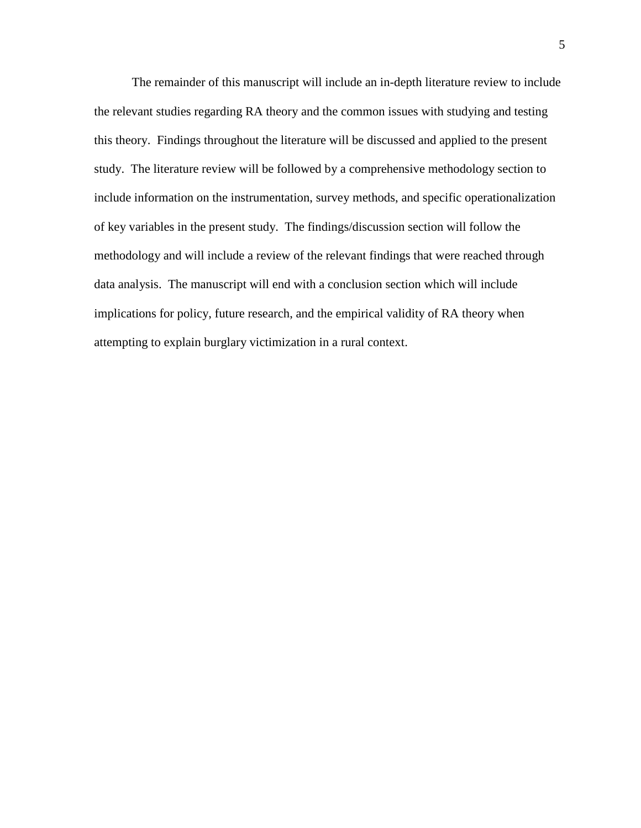The remainder of this manuscript will include an in-depth literature review to include the relevant studies regarding RA theory and the common issues with studying and testing this theory. Findings throughout the literature will be discussed and applied to the present study. The literature review will be followed by a comprehensive methodology section to include information on the instrumentation, survey methods, and specific operationalization of key variables in the present study. The findings/discussion section will follow the methodology and will include a review of the relevant findings that were reached through data analysis. The manuscript will end with a conclusion section which will include implications for policy, future research, and the empirical validity of RA theory when attempting to explain burglary victimization in a rural context.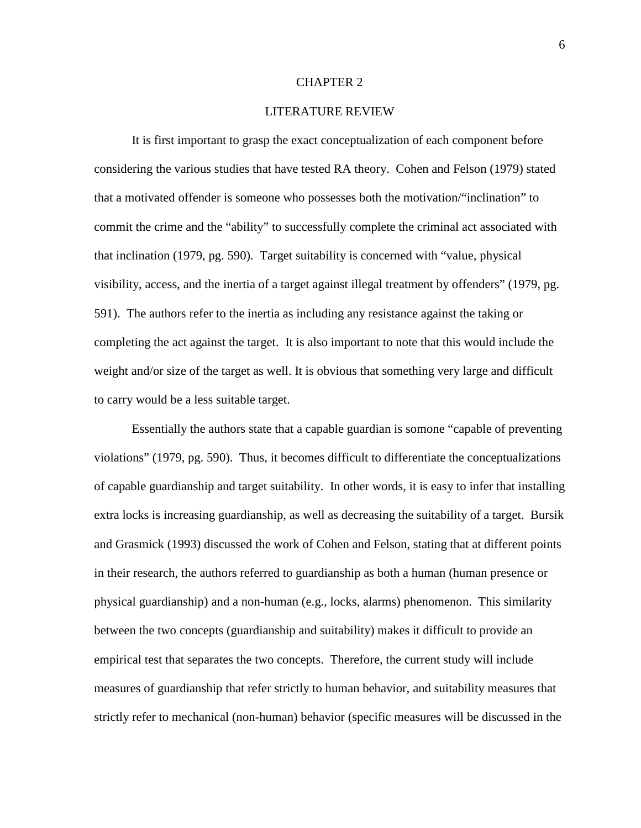#### CHAPTER 2

#### LITERATURE REVIEW

It is first important to grasp the exact conceptualization of each component before considering the various studies that have tested RA theory. Cohen and Felson (1979) stated that a motivated offender is someone who possesses both the motivation/"inclination" to commit the crime and the "ability" to successfully complete the criminal act associated with that inclination (1979, pg. 590). Target suitability is concerned with "value, physical visibility, access, and the inertia of a target against illegal treatment by offenders" (1979, pg. 591). The authors refer to the inertia as including any resistance against the taking or completing the act against the target. It is also important to note that this would include the weight and/or size of the target as well. It is obvious that something very large and difficult to carry would be a less suitable target.

Essentially the authors state that a capable guardian is somone "capable of preventing violations" (1979, pg. 590). Thus, it becomes difficult to differentiate the conceptualizations of capable guardianship and target suitability. In other words, it is easy to infer that installing extra locks is increasing guardianship, as well as decreasing the suitability of a target. Bursik and Grasmick (1993) discussed the work of Cohen and Felson, stating that at different points in their research, the authors referred to guardianship as both a human (human presence or physical guardianship) and a non-human (e.g., locks, alarms) phenomenon. This similarity between the two concepts (guardianship and suitability) makes it difficult to provide an empirical test that separates the two concepts. Therefore, the current study will include measures of guardianship that refer strictly to human behavior, and suitability measures that strictly refer to mechanical (non-human) behavior (specific measures will be discussed in the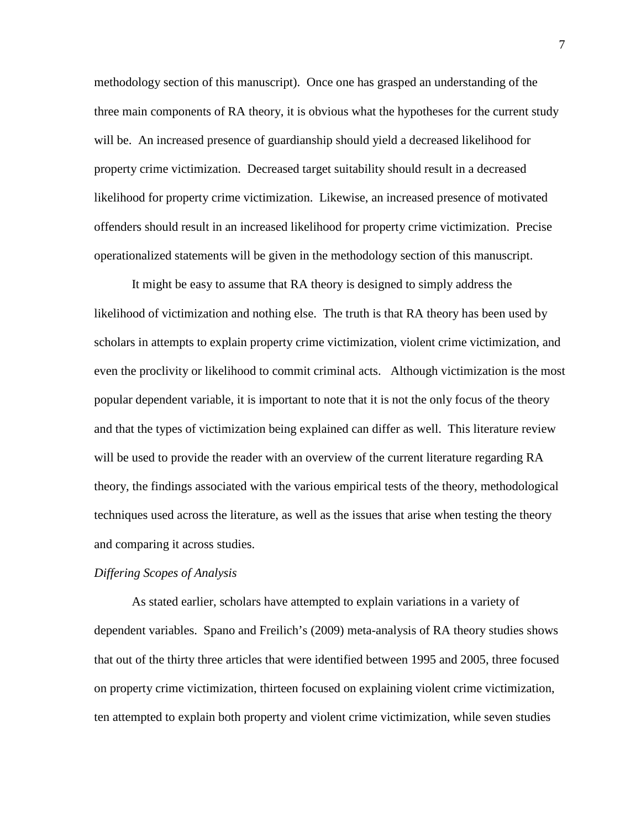methodology section of this manuscript). Once one has grasped an understanding of the three main components of RA theory, it is obvious what the hypotheses for the current study will be. An increased presence of guardianship should yield a decreased likelihood for property crime victimization. Decreased target suitability should result in a decreased likelihood for property crime victimization. Likewise, an increased presence of motivated offenders should result in an increased likelihood for property crime victimization. Precise operationalized statements will be given in the methodology section of this manuscript.

It might be easy to assume that RA theory is designed to simply address the likelihood of victimization and nothing else. The truth is that RA theory has been used by scholars in attempts to explain property crime victimization, violent crime victimization, and even the proclivity or likelihood to commit criminal acts. Although victimization is the most popular dependent variable, it is important to note that it is not the only focus of the theory and that the types of victimization being explained can differ as well. This literature review will be used to provide the reader with an overview of the current literature regarding RA theory, the findings associated with the various empirical tests of the theory, methodological techniques used across the literature, as well as the issues that arise when testing the theory and comparing it across studies.

#### *Differing Scopes of Analysis*

As stated earlier, scholars have attempted to explain variations in a variety of dependent variables. Spano and Freilich's (2009) meta-analysis of RA theory studies shows that out of the thirty three articles that were identified between 1995 and 2005, three focused on property crime victimization, thirteen focused on explaining violent crime victimization, ten attempted to explain both property and violent crime victimization, while seven studies

7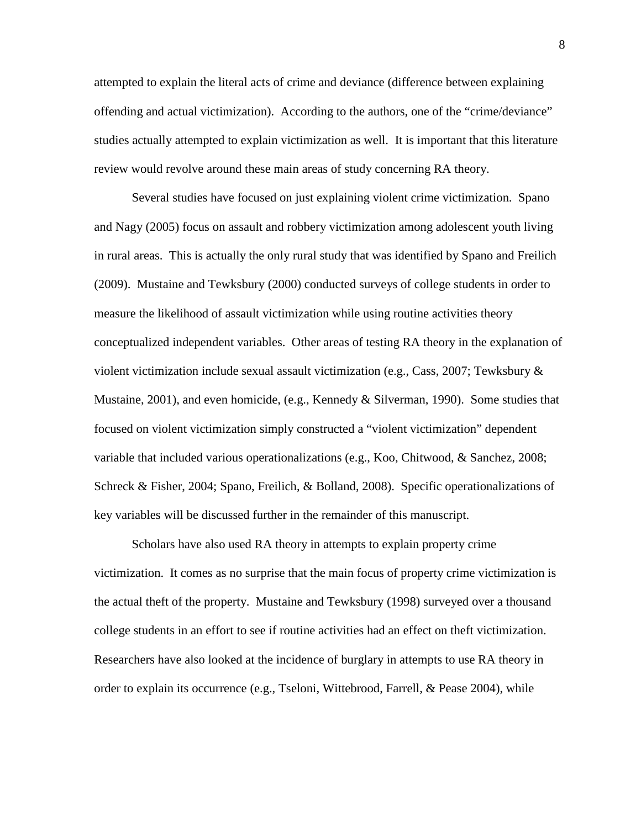attempted to explain the literal acts of crime and deviance (difference between explaining offending and actual victimization). According to the authors, one of the "crime/deviance" studies actually attempted to explain victimization as well. It is important that this literature review would revolve around these main areas of study concerning RA theory.

 Several studies have focused on just explaining violent crime victimization. Spano and Nagy (2005) focus on assault and robbery victimization among adolescent youth living in rural areas. This is actually the only rural study that was identified by Spano and Freilich (2009). Mustaine and Tewksbury (2000) conducted surveys of college students in order to measure the likelihood of assault victimization while using routine activities theory conceptualized independent variables. Other areas of testing RA theory in the explanation of violent victimization include sexual assault victimization (e.g., Cass, 2007; Tewksbury & Mustaine, 2001), and even homicide, (e.g., Kennedy & Silverman, 1990). Some studies that focused on violent victimization simply constructed a "violent victimization" dependent variable that included various operationalizations (e.g., Koo, Chitwood, & Sanchez, 2008; Schreck & Fisher, 2004; Spano, Freilich, & Bolland, 2008). Specific operationalizations of key variables will be discussed further in the remainder of this manuscript.

 Scholars have also used RA theory in attempts to explain property crime victimization. It comes as no surprise that the main focus of property crime victimization is the actual theft of the property. Mustaine and Tewksbury (1998) surveyed over a thousand college students in an effort to see if routine activities had an effect on theft victimization. Researchers have also looked at the incidence of burglary in attempts to use RA theory in order to explain its occurrence (e.g., Tseloni, Wittebrood, Farrell, & Pease 2004), while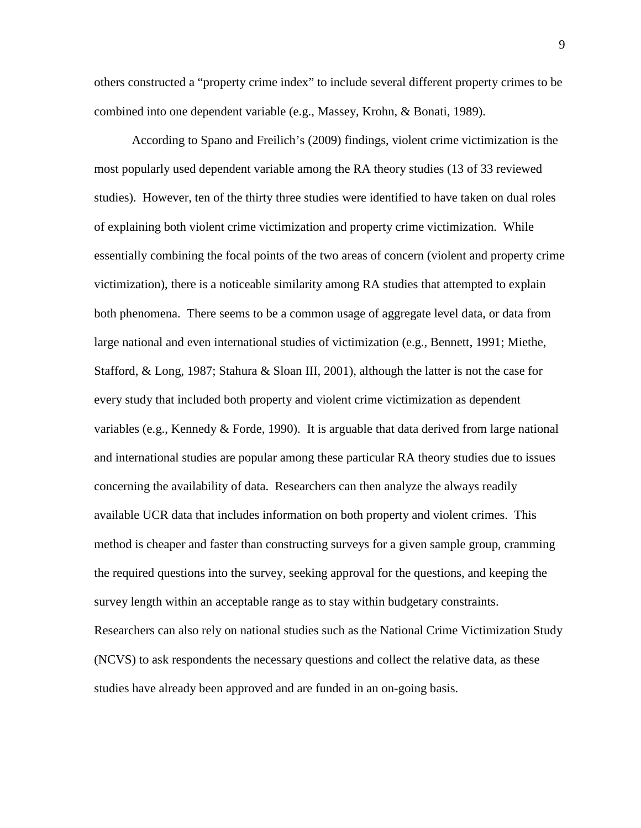others constructed a "property crime index" to include several different property crimes to be combined into one dependent variable (e.g., Massey, Krohn, & Bonati, 1989).

 According to Spano and Freilich's (2009) findings, violent crime victimization is the most popularly used dependent variable among the RA theory studies (13 of 33 reviewed studies). However, ten of the thirty three studies were identified to have taken on dual roles of explaining both violent crime victimization and property crime victimization. While essentially combining the focal points of the two areas of concern (violent and property crime victimization), there is a noticeable similarity among RA studies that attempted to explain both phenomena. There seems to be a common usage of aggregate level data, or data from large national and even international studies of victimization (e.g., Bennett, 1991; Miethe, Stafford, & Long, 1987; Stahura & Sloan III, 2001), although the latter is not the case for every study that included both property and violent crime victimization as dependent variables (e.g., Kennedy & Forde, 1990). It is arguable that data derived from large national and international studies are popular among these particular RA theory studies due to issues concerning the availability of data. Researchers can then analyze the always readily available UCR data that includes information on both property and violent crimes. This method is cheaper and faster than constructing surveys for a given sample group, cramming the required questions into the survey, seeking approval for the questions, and keeping the survey length within an acceptable range as to stay within budgetary constraints. Researchers can also rely on national studies such as the National Crime Victimization Study (NCVS) to ask respondents the necessary questions and collect the relative data, as these studies have already been approved and are funded in an on-going basis.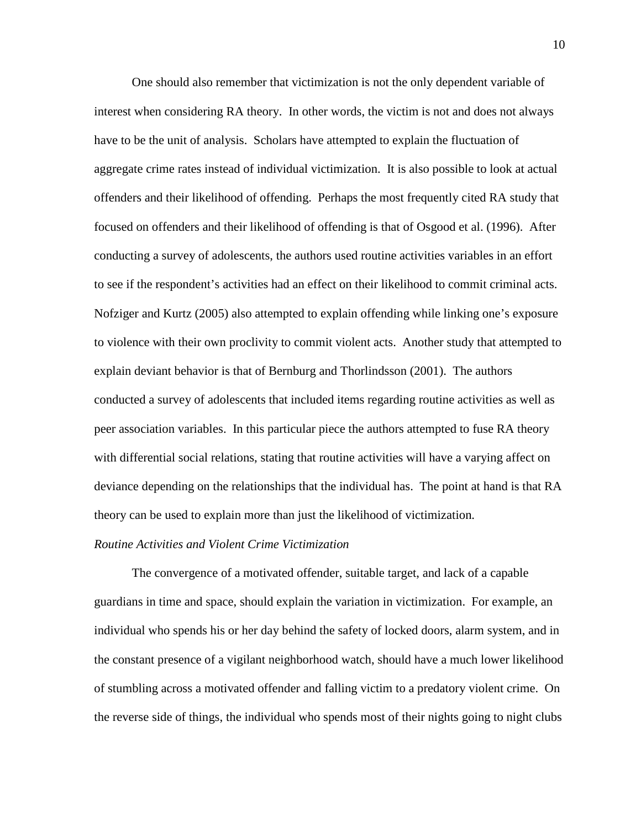One should also remember that victimization is not the only dependent variable of interest when considering RA theory. In other words, the victim is not and does not always have to be the unit of analysis. Scholars have attempted to explain the fluctuation of aggregate crime rates instead of individual victimization. It is also possible to look at actual offenders and their likelihood of offending. Perhaps the most frequently cited RA study that focused on offenders and their likelihood of offending is that of Osgood et al. (1996). After conducting a survey of adolescents, the authors used routine activities variables in an effort to see if the respondent's activities had an effect on their likelihood to commit criminal acts. Nofziger and Kurtz (2005) also attempted to explain offending while linking one's exposure to violence with their own proclivity to commit violent acts. Another study that attempted to explain deviant behavior is that of Bernburg and Thorlindsson (2001). The authors conducted a survey of adolescents that included items regarding routine activities as well as peer association variables. In this particular piece the authors attempted to fuse RA theory with differential social relations, stating that routine activities will have a varying affect on deviance depending on the relationships that the individual has. The point at hand is that RA theory can be used to explain more than just the likelihood of victimization.

#### *Routine Activities and Violent Crime Victimization*

 The convergence of a motivated offender, suitable target, and lack of a capable guardians in time and space, should explain the variation in victimization. For example, an individual who spends his or her day behind the safety of locked doors, alarm system, and in the constant presence of a vigilant neighborhood watch, should have a much lower likelihood of stumbling across a motivated offender and falling victim to a predatory violent crime. On the reverse side of things, the individual who spends most of their nights going to night clubs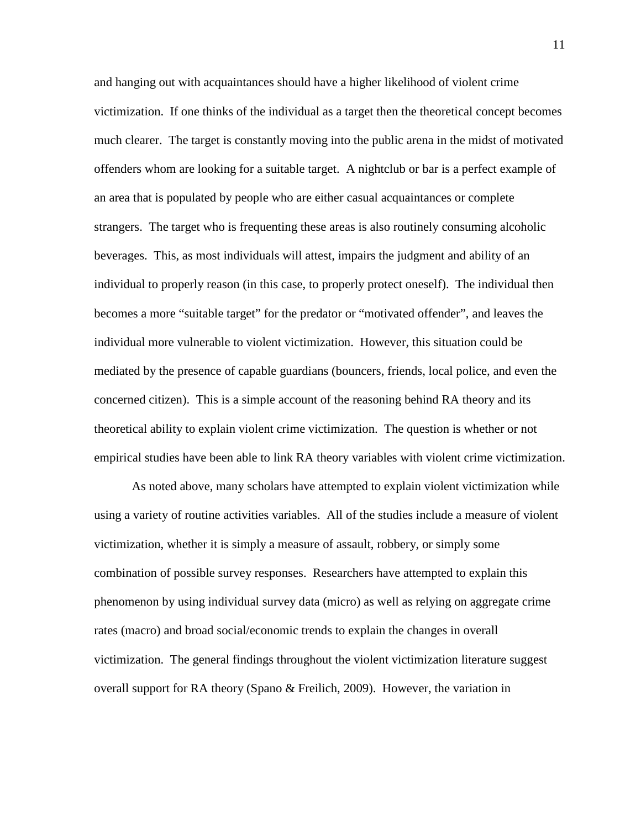and hanging out with acquaintances should have a higher likelihood of violent crime victimization. If one thinks of the individual as a target then the theoretical concept becomes much clearer. The target is constantly moving into the public arena in the midst of motivated offenders whom are looking for a suitable target. A nightclub or bar is a perfect example of an area that is populated by people who are either casual acquaintances or complete strangers. The target who is frequenting these areas is also routinely consuming alcoholic beverages. This, as most individuals will attest, impairs the judgment and ability of an individual to properly reason (in this case, to properly protect oneself). The individual then becomes a more "suitable target" for the predator or "motivated offender", and leaves the individual more vulnerable to violent victimization. However, this situation could be mediated by the presence of capable guardians (bouncers, friends, local police, and even the concerned citizen). This is a simple account of the reasoning behind RA theory and its theoretical ability to explain violent crime victimization. The question is whether or not empirical studies have been able to link RA theory variables with violent crime victimization.

 As noted above, many scholars have attempted to explain violent victimization while using a variety of routine activities variables. All of the studies include a measure of violent victimization, whether it is simply a measure of assault, robbery, or simply some combination of possible survey responses. Researchers have attempted to explain this phenomenon by using individual survey data (micro) as well as relying on aggregate crime rates (macro) and broad social/economic trends to explain the changes in overall victimization. The general findings throughout the violent victimization literature suggest overall support for RA theory (Spano & Freilich, 2009). However, the variation in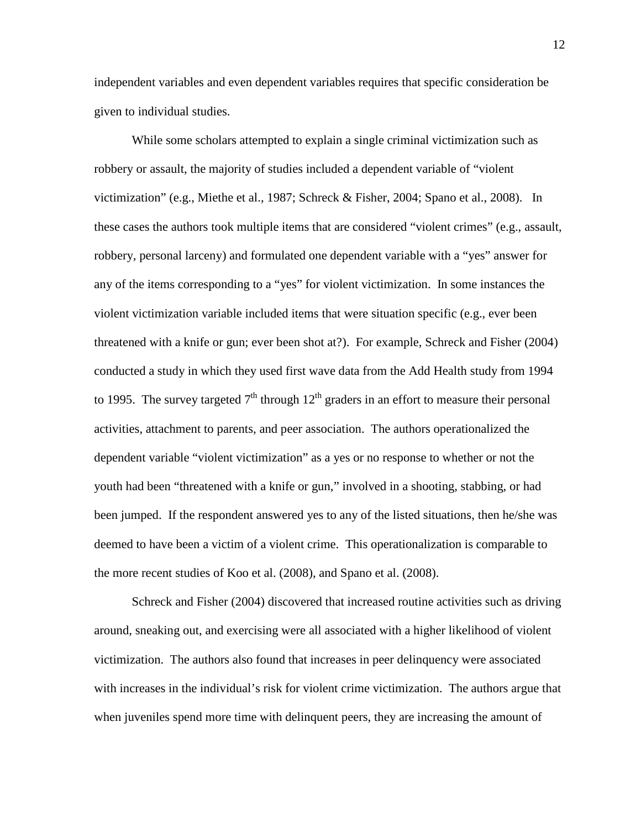independent variables and even dependent variables requires that specific consideration be given to individual studies.

 While some scholars attempted to explain a single criminal victimization such as robbery or assault, the majority of studies included a dependent variable of "violent victimization" (e.g., Miethe et al., 1987; Schreck & Fisher, 2004; Spano et al., 2008). In these cases the authors took multiple items that are considered "violent crimes" (e.g., assault, robbery, personal larceny) and formulated one dependent variable with a "yes" answer for any of the items corresponding to a "yes" for violent victimization. In some instances the violent victimization variable included items that were situation specific (e.g., ever been threatened with a knife or gun; ever been shot at?). For example, Schreck and Fisher (2004) conducted a study in which they used first wave data from the Add Health study from 1994 to 1995. The survey targeted  $7<sup>th</sup>$  through  $12<sup>th</sup>$  graders in an effort to measure their personal activities, attachment to parents, and peer association. The authors operationalized the dependent variable "violent victimization" as a yes or no response to whether or not the youth had been "threatened with a knife or gun," involved in a shooting, stabbing, or had been jumped. If the respondent answered yes to any of the listed situations, then he/she was deemed to have been a victim of a violent crime. This operationalization is comparable to the more recent studies of Koo et al. (2008), and Spano et al. (2008).

 Schreck and Fisher (2004) discovered that increased routine activities such as driving around, sneaking out, and exercising were all associated with a higher likelihood of violent victimization. The authors also found that increases in peer delinquency were associated with increases in the individual's risk for violent crime victimization. The authors argue that when juveniles spend more time with delinquent peers, they are increasing the amount of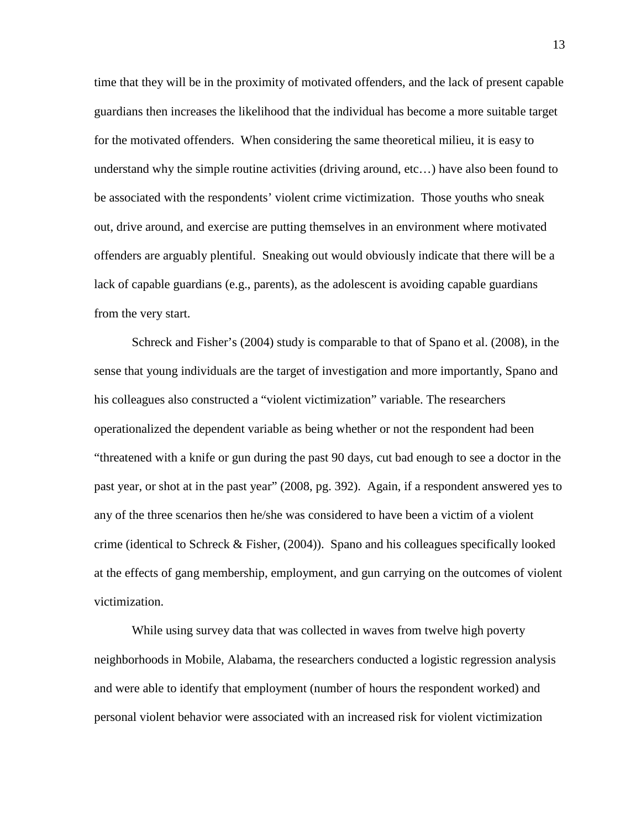time that they will be in the proximity of motivated offenders, and the lack of present capable guardians then increases the likelihood that the individual has become a more suitable target for the motivated offenders. When considering the same theoretical milieu, it is easy to understand why the simple routine activities (driving around, etc…) have also been found to be associated with the respondents' violent crime victimization. Those youths who sneak out, drive around, and exercise are putting themselves in an environment where motivated offenders are arguably plentiful. Sneaking out would obviously indicate that there will be a lack of capable guardians (e.g., parents), as the adolescent is avoiding capable guardians from the very start.

 Schreck and Fisher's (2004) study is comparable to that of Spano et al. (2008), in the sense that young individuals are the target of investigation and more importantly, Spano and his colleagues also constructed a "violent victimization" variable. The researchers operationalized the dependent variable as being whether or not the respondent had been "threatened with a knife or gun during the past 90 days, cut bad enough to see a doctor in the past year, or shot at in the past year" (2008, pg. 392). Again, if a respondent answered yes to any of the three scenarios then he/she was considered to have been a victim of a violent crime (identical to Schreck & Fisher, (2004)). Spano and his colleagues specifically looked at the effects of gang membership, employment, and gun carrying on the outcomes of violent victimization.

While using survey data that was collected in waves from twelve high poverty neighborhoods in Mobile, Alabama, the researchers conducted a logistic regression analysis and were able to identify that employment (number of hours the respondent worked) and personal violent behavior were associated with an increased risk for violent victimization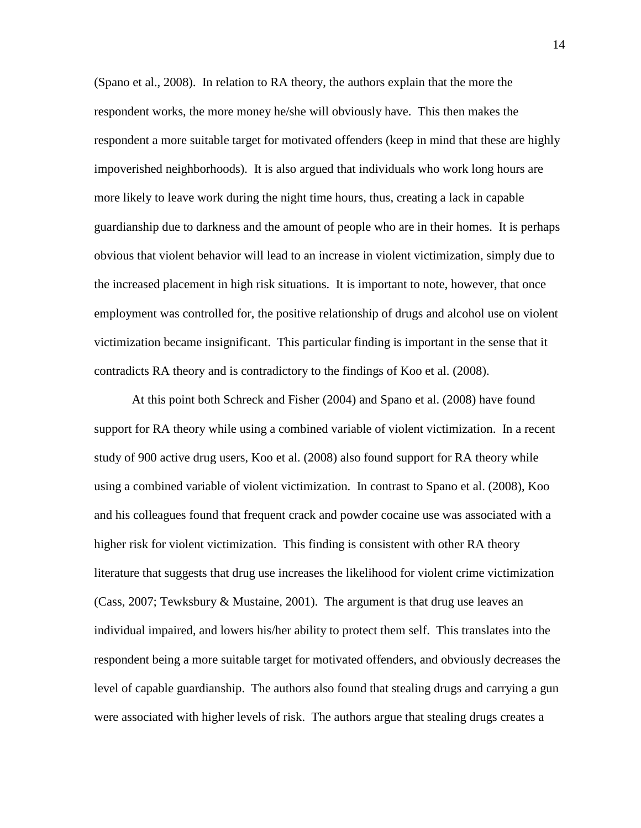(Spano et al., 2008). In relation to RA theory, the authors explain that the more the respondent works, the more money he/she will obviously have. This then makes the respondent a more suitable target for motivated offenders (keep in mind that these are highly impoverished neighborhoods). It is also argued that individuals who work long hours are more likely to leave work during the night time hours, thus, creating a lack in capable guardianship due to darkness and the amount of people who are in their homes. It is perhaps obvious that violent behavior will lead to an increase in violent victimization, simply due to the increased placement in high risk situations. It is important to note, however, that once employment was controlled for, the positive relationship of drugs and alcohol use on violent victimization became insignificant. This particular finding is important in the sense that it contradicts RA theory and is contradictory to the findings of Koo et al. (2008).

At this point both Schreck and Fisher (2004) and Spano et al. (2008) have found support for RA theory while using a combined variable of violent victimization. In a recent study of 900 active drug users, Koo et al. (2008) also found support for RA theory while using a combined variable of violent victimization. In contrast to Spano et al. (2008), Koo and his colleagues found that frequent crack and powder cocaine use was associated with a higher risk for violent victimization. This finding is consistent with other RA theory literature that suggests that drug use increases the likelihood for violent crime victimization (Cass, 2007; Tewksbury & Mustaine, 2001). The argument is that drug use leaves an individual impaired, and lowers his/her ability to protect them self. This translates into the respondent being a more suitable target for motivated offenders, and obviously decreases the level of capable guardianship. The authors also found that stealing drugs and carrying a gun were associated with higher levels of risk. The authors argue that stealing drugs creates a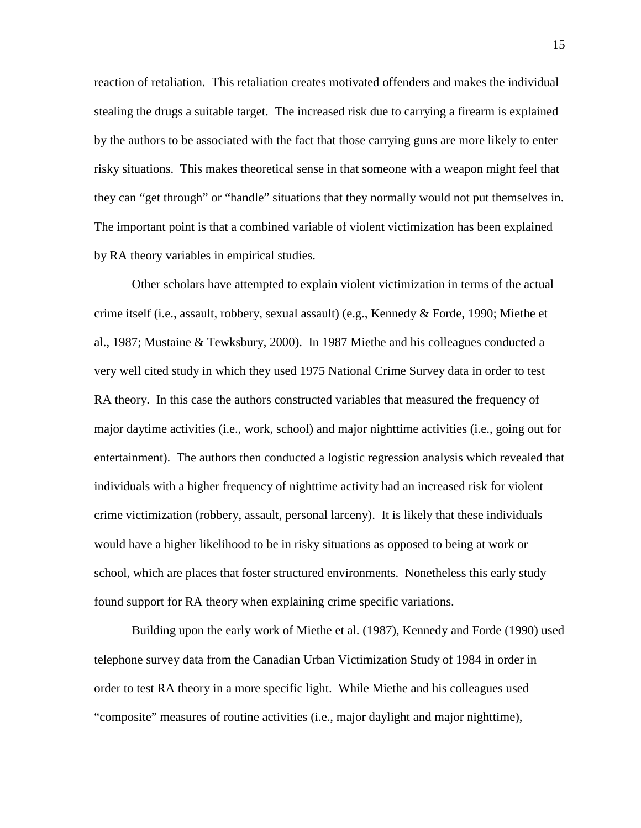reaction of retaliation. This retaliation creates motivated offenders and makes the individual stealing the drugs a suitable target. The increased risk due to carrying a firearm is explained by the authors to be associated with the fact that those carrying guns are more likely to enter risky situations. This makes theoretical sense in that someone with a weapon might feel that they can "get through" or "handle" situations that they normally would not put themselves in. The important point is that a combined variable of violent victimization has been explained by RA theory variables in empirical studies.

Other scholars have attempted to explain violent victimization in terms of the actual crime itself (i.e., assault, robbery, sexual assault) (e.g., Kennedy & Forde, 1990; Miethe et al., 1987; Mustaine & Tewksbury, 2000). In 1987 Miethe and his colleagues conducted a very well cited study in which they used 1975 National Crime Survey data in order to test RA theory. In this case the authors constructed variables that measured the frequency of major daytime activities (i.e., work, school) and major nighttime activities (i.e., going out for entertainment). The authors then conducted a logistic regression analysis which revealed that individuals with a higher frequency of nighttime activity had an increased risk for violent crime victimization (robbery, assault, personal larceny). It is likely that these individuals would have a higher likelihood to be in risky situations as opposed to being at work or school, which are places that foster structured environments. Nonetheless this early study found support for RA theory when explaining crime specific variations.

Building upon the early work of Miethe et al. (1987), Kennedy and Forde (1990) used telephone survey data from the Canadian Urban Victimization Study of 1984 in order in order to test RA theory in a more specific light. While Miethe and his colleagues used "composite" measures of routine activities (i.e., major daylight and major nighttime),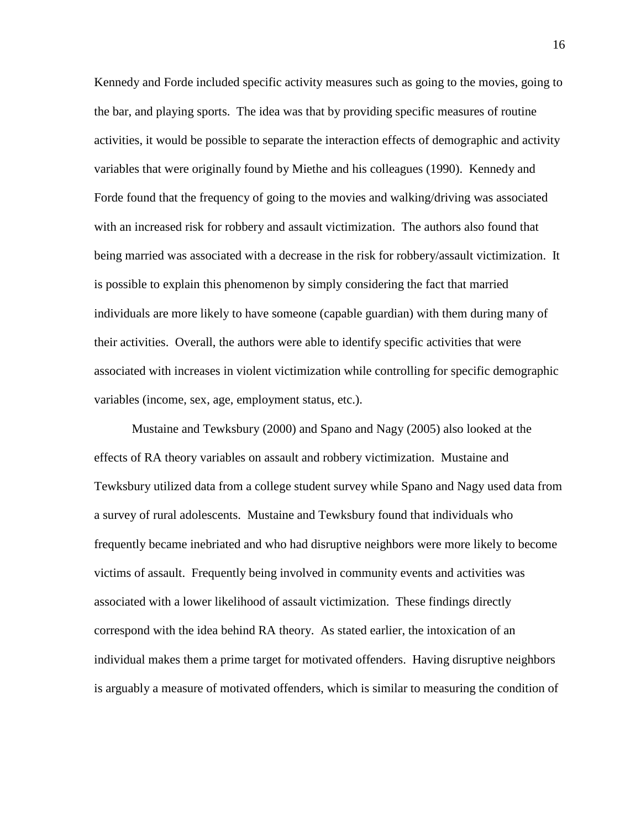Kennedy and Forde included specific activity measures such as going to the movies, going to the bar, and playing sports. The idea was that by providing specific measures of routine activities, it would be possible to separate the interaction effects of demographic and activity variables that were originally found by Miethe and his colleagues (1990). Kennedy and Forde found that the frequency of going to the movies and walking/driving was associated with an increased risk for robbery and assault victimization. The authors also found that being married was associated with a decrease in the risk for robbery/assault victimization. It is possible to explain this phenomenon by simply considering the fact that married individuals are more likely to have someone (capable guardian) with them during many of their activities. Overall, the authors were able to identify specific activities that were associated with increases in violent victimization while controlling for specific demographic variables (income, sex, age, employment status, etc.).

Mustaine and Tewksbury (2000) and Spano and Nagy (2005) also looked at the effects of RA theory variables on assault and robbery victimization. Mustaine and Tewksbury utilized data from a college student survey while Spano and Nagy used data from a survey of rural adolescents. Mustaine and Tewksbury found that individuals who frequently became inebriated and who had disruptive neighbors were more likely to become victims of assault. Frequently being involved in community events and activities was associated with a lower likelihood of assault victimization. These findings directly correspond with the idea behind RA theory. As stated earlier, the intoxication of an individual makes them a prime target for motivated offenders. Having disruptive neighbors is arguably a measure of motivated offenders, which is similar to measuring the condition of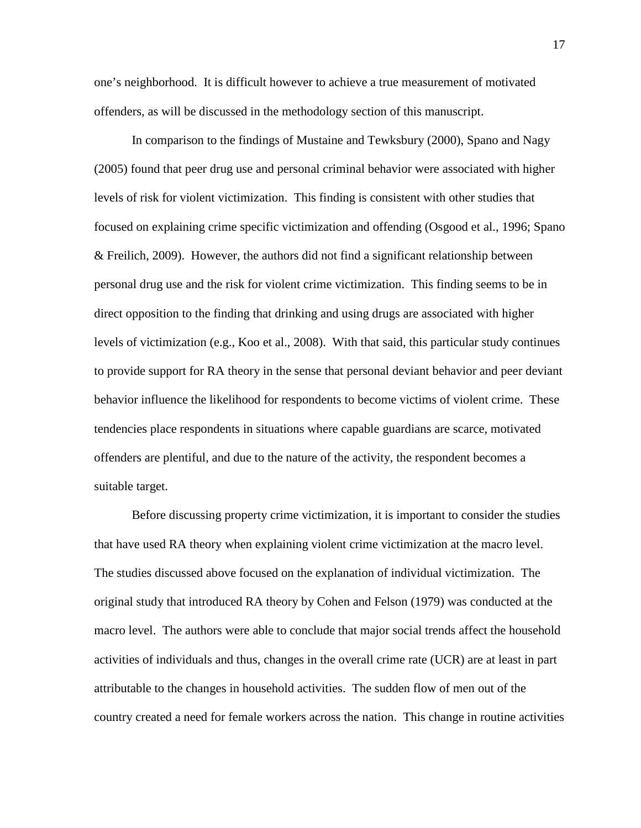one's neighborhood. It is difficult however to achieve a true measurement of motivated offenders, as will be discussed in the methodology section of this manuscript.

In comparison to the findings of Mustaine and Tewksbury (2000), Spano and Nagy (2005) found that peer drug use and personal criminal behavior were associated with higher levels of risk for violent victimization. This finding is consistent with other studies that focused on explaining crime specific victimization and offending (Osgood et al., 1996; Spano & Freilich, 2009). However, the authors did not find a significant relationship between personal drug use and the risk for violent crime victimization. This finding seems to be in direct opposition to the finding that drinking and using drugs are associated with higher levels of victimization (e.g., Koo et al., 2008). With that said, this particular study continues to provide support for RA theory in the sense that personal deviant behavior and peer deviant behavior influence the likelihood for respondents to become victims of violent crime. These tendencies place respondents in situations where capable guardians are scarce, motivated offenders are plentiful, and due to the nature of the activity, the respondent becomes a suitable target.

Before discussing property crime victimization, it is important to consider the studies that have used RA theory when explaining violent crime victimization at the macro level. The studies discussed above focused on the explanation of individual victimization. The original study that introduced RA theory by Cohen and Felson (1979) was conducted at the macro level. The authors were able to conclude that major social trends affect the household activities of individuals and thus, changes in the overall crime rate (UCR) are at least in part attributable to the changes in household activities. The sudden flow of men out of the country created a need for female workers across the nation. This change in routine activities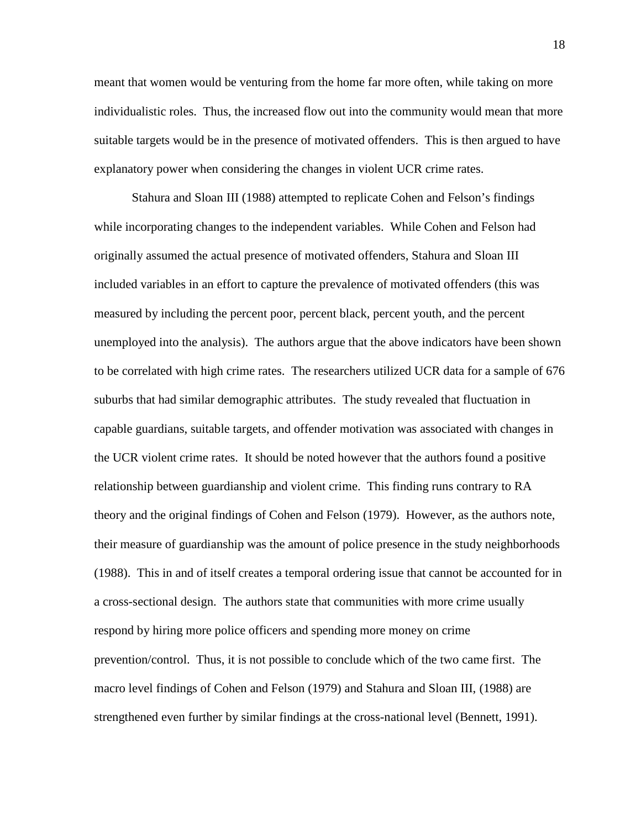meant that women would be venturing from the home far more often, while taking on more individualistic roles. Thus, the increased flow out into the community would mean that more suitable targets would be in the presence of motivated offenders. This is then argued to have explanatory power when considering the changes in violent UCR crime rates.

Stahura and Sloan III (1988) attempted to replicate Cohen and Felson's findings while incorporating changes to the independent variables. While Cohen and Felson had originally assumed the actual presence of motivated offenders, Stahura and Sloan III included variables in an effort to capture the prevalence of motivated offenders (this was measured by including the percent poor, percent black, percent youth, and the percent unemployed into the analysis). The authors argue that the above indicators have been shown to be correlated with high crime rates. The researchers utilized UCR data for a sample of 676 suburbs that had similar demographic attributes. The study revealed that fluctuation in capable guardians, suitable targets, and offender motivation was associated with changes in the UCR violent crime rates. It should be noted however that the authors found a positive relationship between guardianship and violent crime. This finding runs contrary to RA theory and the original findings of Cohen and Felson (1979). However, as the authors note, their measure of guardianship was the amount of police presence in the study neighborhoods (1988). This in and of itself creates a temporal ordering issue that cannot be accounted for in a cross-sectional design. The authors state that communities with more crime usually respond by hiring more police officers and spending more money on crime prevention/control. Thus, it is not possible to conclude which of the two came first. The macro level findings of Cohen and Felson (1979) and Stahura and Sloan III, (1988) are strengthened even further by similar findings at the cross-national level (Bennett, 1991).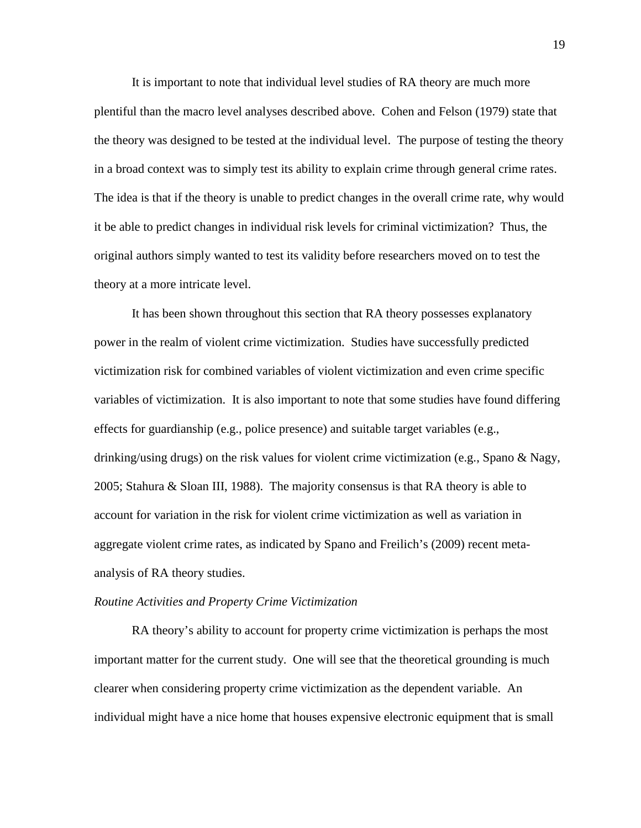It is important to note that individual level studies of RA theory are much more plentiful than the macro level analyses described above. Cohen and Felson (1979) state that the theory was designed to be tested at the individual level. The purpose of testing the theory in a broad context was to simply test its ability to explain crime through general crime rates. The idea is that if the theory is unable to predict changes in the overall crime rate, why would it be able to predict changes in individual risk levels for criminal victimization? Thus, the original authors simply wanted to test its validity before researchers moved on to test the theory at a more intricate level.

It has been shown throughout this section that RA theory possesses explanatory power in the realm of violent crime victimization. Studies have successfully predicted victimization risk for combined variables of violent victimization and even crime specific variables of victimization. It is also important to note that some studies have found differing effects for guardianship (e.g., police presence) and suitable target variables (e.g., drinking/using drugs) on the risk values for violent crime victimization (e.g., Spano & Nagy, 2005; Stahura & Sloan III, 1988). The majority consensus is that RA theory is able to account for variation in the risk for violent crime victimization as well as variation in aggregate violent crime rates, as indicated by Spano and Freilich's (2009) recent metaanalysis of RA theory studies.

#### *Routine Activities and Property Crime Victimization*

RA theory's ability to account for property crime victimization is perhaps the most important matter for the current study. One will see that the theoretical grounding is much clearer when considering property crime victimization as the dependent variable. An individual might have a nice home that houses expensive electronic equipment that is small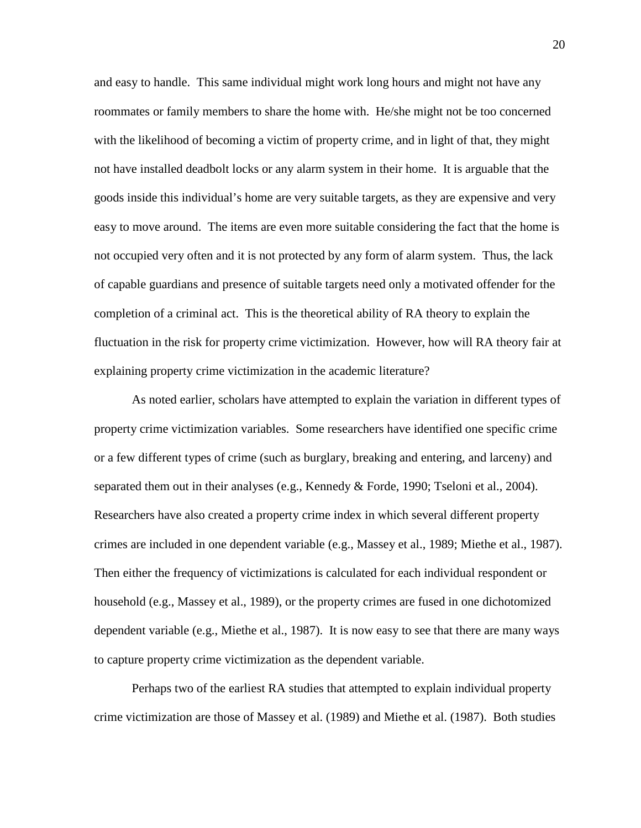and easy to handle. This same individual might work long hours and might not have any roommates or family members to share the home with. He/she might not be too concerned with the likelihood of becoming a victim of property crime, and in light of that, they might not have installed deadbolt locks or any alarm system in their home. It is arguable that the goods inside this individual's home are very suitable targets, as they are expensive and very easy to move around. The items are even more suitable considering the fact that the home is not occupied very often and it is not protected by any form of alarm system. Thus, the lack of capable guardians and presence of suitable targets need only a motivated offender for the completion of a criminal act. This is the theoretical ability of RA theory to explain the fluctuation in the risk for property crime victimization. However, how will RA theory fair at explaining property crime victimization in the academic literature?

 As noted earlier, scholars have attempted to explain the variation in different types of property crime victimization variables. Some researchers have identified one specific crime or a few different types of crime (such as burglary, breaking and entering, and larceny) and separated them out in their analyses (e.g., Kennedy & Forde, 1990; Tseloni et al., 2004). Researchers have also created a property crime index in which several different property crimes are included in one dependent variable (e.g., Massey et al., 1989; Miethe et al., 1987). Then either the frequency of victimizations is calculated for each individual respondent or household (e.g., Massey et al., 1989), or the property crimes are fused in one dichotomized dependent variable (e.g., Miethe et al., 1987). It is now easy to see that there are many ways to capture property crime victimization as the dependent variable.

 Perhaps two of the earliest RA studies that attempted to explain individual property crime victimization are those of Massey et al. (1989) and Miethe et al. (1987). Both studies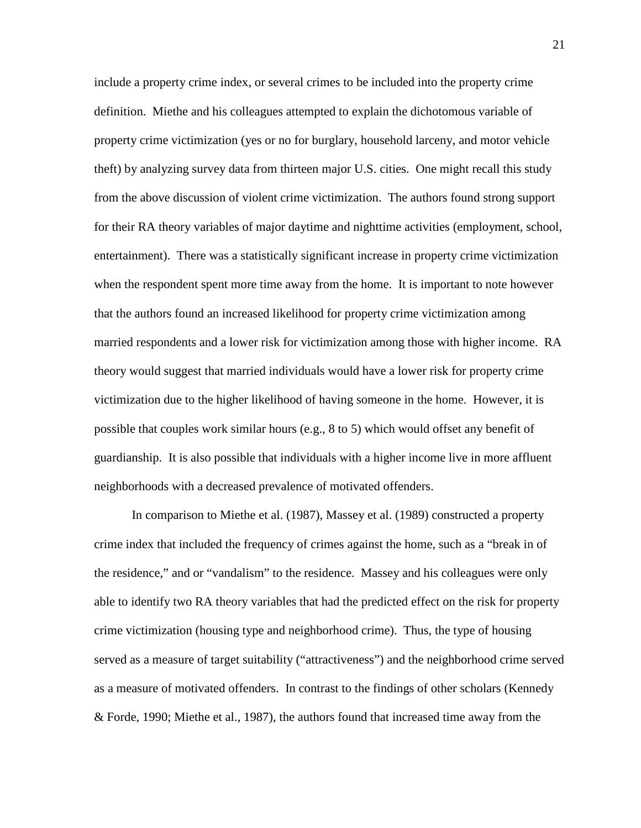include a property crime index, or several crimes to be included into the property crime definition. Miethe and his colleagues attempted to explain the dichotomous variable of property crime victimization (yes or no for burglary, household larceny, and motor vehicle theft) by analyzing survey data from thirteen major U.S. cities. One might recall this study from the above discussion of violent crime victimization. The authors found strong support for their RA theory variables of major daytime and nighttime activities (employment, school, entertainment). There was a statistically significant increase in property crime victimization when the respondent spent more time away from the home. It is important to note however that the authors found an increased likelihood for property crime victimization among married respondents and a lower risk for victimization among those with higher income. RA theory would suggest that married individuals would have a lower risk for property crime victimization due to the higher likelihood of having someone in the home. However, it is possible that couples work similar hours (e.g., 8 to 5) which would offset any benefit of guardianship. It is also possible that individuals with a higher income live in more affluent neighborhoods with a decreased prevalence of motivated offenders.

 In comparison to Miethe et al. (1987), Massey et al. (1989) constructed a property crime index that included the frequency of crimes against the home, such as a "break in of the residence," and or "vandalism" to the residence. Massey and his colleagues were only able to identify two RA theory variables that had the predicted effect on the risk for property crime victimization (housing type and neighborhood crime). Thus, the type of housing served as a measure of target suitability ("attractiveness") and the neighborhood crime served as a measure of motivated offenders. In contrast to the findings of other scholars (Kennedy & Forde, 1990; Miethe et al., 1987), the authors found that increased time away from the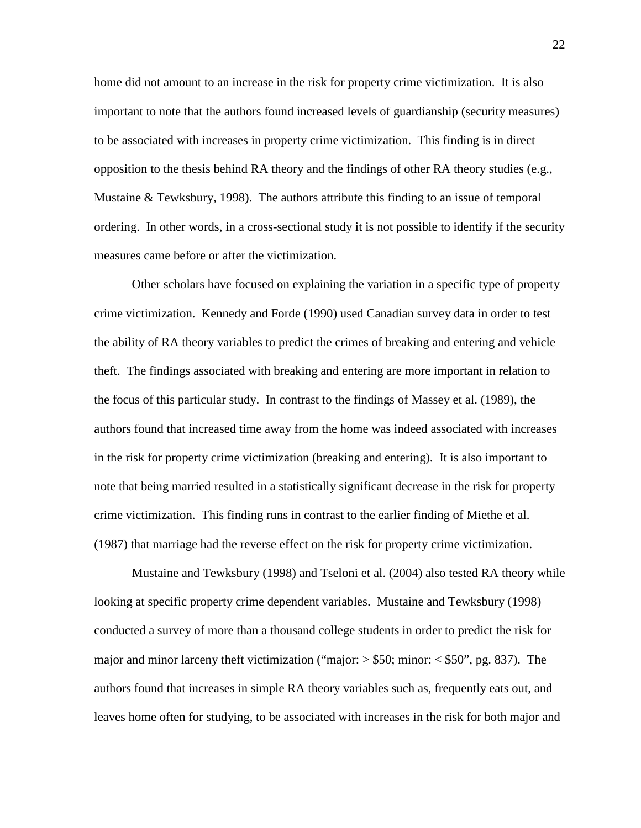home did not amount to an increase in the risk for property crime victimization. It is also important to note that the authors found increased levels of guardianship (security measures) to be associated with increases in property crime victimization. This finding is in direct opposition to the thesis behind RA theory and the findings of other RA theory studies (e.g., Mustaine & Tewksbury, 1998). The authors attribute this finding to an issue of temporal ordering. In other words, in a cross-sectional study it is not possible to identify if the security measures came before or after the victimization.

 Other scholars have focused on explaining the variation in a specific type of property crime victimization. Kennedy and Forde (1990) used Canadian survey data in order to test the ability of RA theory variables to predict the crimes of breaking and entering and vehicle theft. The findings associated with breaking and entering are more important in relation to the focus of this particular study. In contrast to the findings of Massey et al. (1989), the authors found that increased time away from the home was indeed associated with increases in the risk for property crime victimization (breaking and entering). It is also important to note that being married resulted in a statistically significant decrease in the risk for property crime victimization. This finding runs in contrast to the earlier finding of Miethe et al. (1987) that marriage had the reverse effect on the risk for property crime victimization.

 Mustaine and Tewksbury (1998) and Tseloni et al. (2004) also tested RA theory while looking at specific property crime dependent variables. Mustaine and Tewksbury (1998) conducted a survey of more than a thousand college students in order to predict the risk for major and minor larceny theft victimization ("major:  $>$  \$50; minor:  $<$  \$50", pg. 837). The authors found that increases in simple RA theory variables such as, frequently eats out, and leaves home often for studying, to be associated with increases in the risk for both major and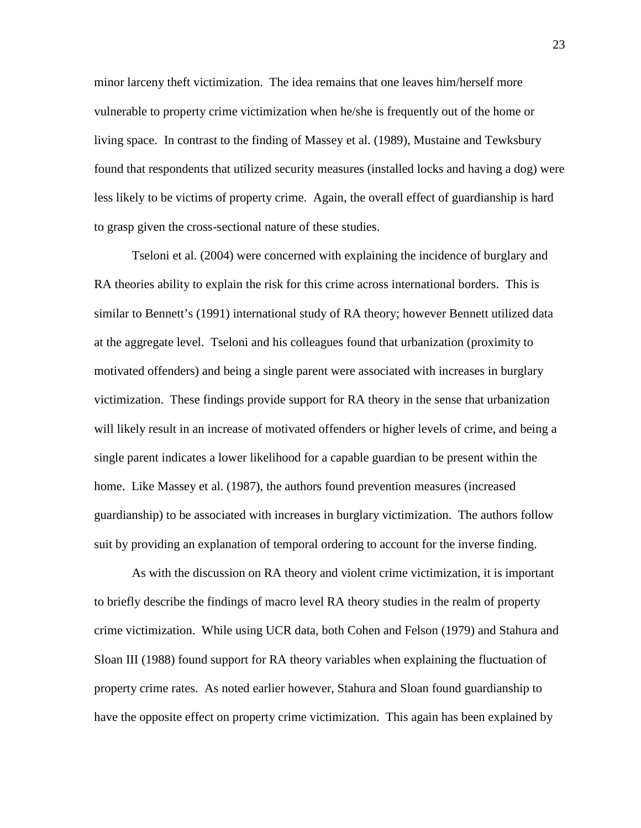minor larceny theft victimization. The idea remains that one leaves him/herself more vulnerable to property crime victimization when he/she is frequently out of the home or living space. In contrast to the finding of Massey et al. (1989), Mustaine and Tewksbury found that respondents that utilized security measures (installed locks and having a dog) were less likely to be victims of property crime. Again, the overall effect of guardianship is hard to grasp given the cross-sectional nature of these studies.

 Tseloni et al. (2004) were concerned with explaining the incidence of burglary and RA theories ability to explain the risk for this crime across international borders. This is similar to Bennett's (1991) international study of RA theory; however Bennett utilized data at the aggregate level. Tseloni and his colleagues found that urbanization (proximity to motivated offenders) and being a single parent were associated with increases in burglary victimization. These findings provide support for RA theory in the sense that urbanization will likely result in an increase of motivated offenders or higher levels of crime, and being a single parent indicates a lower likelihood for a capable guardian to be present within the home. Like Massey et al. (1987), the authors found prevention measures (increased guardianship) to be associated with increases in burglary victimization. The authors follow suit by providing an explanation of temporal ordering to account for the inverse finding.

 As with the discussion on RA theory and violent crime victimization, it is important to briefly describe the findings of macro level RA theory studies in the realm of property crime victimization. While using UCR data, both Cohen and Felson (1979) and Stahura and Sloan III (1988) found support for RA theory variables when explaining the fluctuation of property crime rates. As noted earlier however, Stahura and Sloan found guardianship to have the opposite effect on property crime victimization. This again has been explained by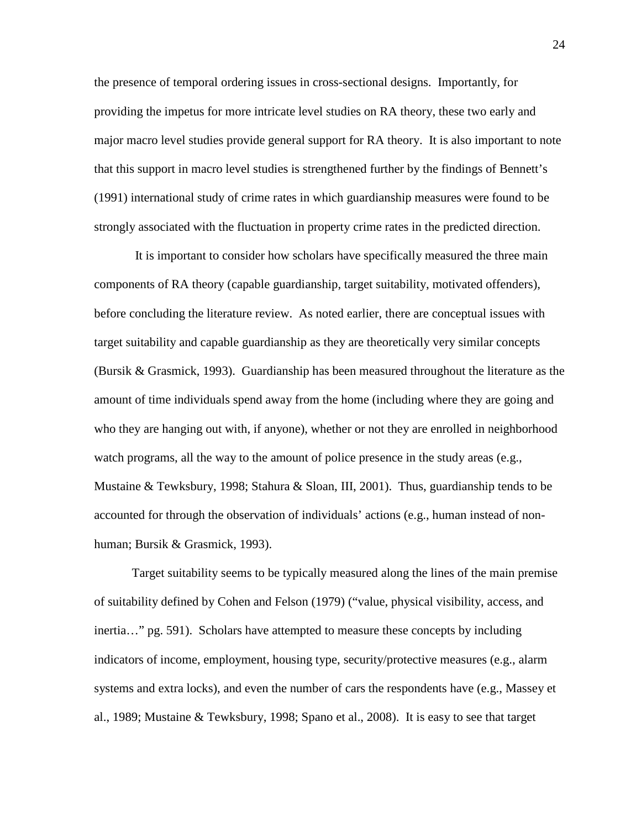the presence of temporal ordering issues in cross-sectional designs. Importantly, for providing the impetus for more intricate level studies on RA theory, these two early and major macro level studies provide general support for RA theory. It is also important to note that this support in macro level studies is strengthened further by the findings of Bennett's (1991) international study of crime rates in which guardianship measures were found to be strongly associated with the fluctuation in property crime rates in the predicted direction.

 It is important to consider how scholars have specifically measured the three main components of RA theory (capable guardianship, target suitability, motivated offenders), before concluding the literature review. As noted earlier, there are conceptual issues with target suitability and capable guardianship as they are theoretically very similar concepts (Bursik & Grasmick, 1993). Guardianship has been measured throughout the literature as the amount of time individuals spend away from the home (including where they are going and who they are hanging out with, if anyone), whether or not they are enrolled in neighborhood watch programs, all the way to the amount of police presence in the study areas (e.g., Mustaine & Tewksbury, 1998; Stahura & Sloan, III, 2001). Thus, guardianship tends to be accounted for through the observation of individuals' actions (e.g., human instead of nonhuman; Bursik & Grasmick, 1993).

Target suitability seems to be typically measured along the lines of the main premise of suitability defined by Cohen and Felson (1979) ("value, physical visibility, access, and inertia…" pg. 591). Scholars have attempted to measure these concepts by including indicators of income, employment, housing type, security/protective measures (e.g., alarm systems and extra locks), and even the number of cars the respondents have (e.g., Massey et al., 1989; Mustaine & Tewksbury, 1998; Spano et al., 2008). It is easy to see that target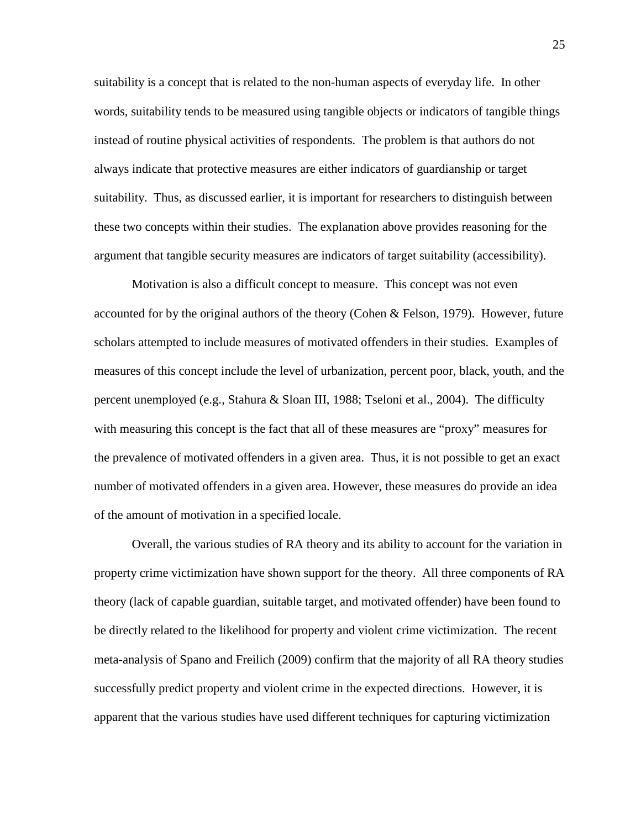suitability is a concept that is related to the non-human aspects of everyday life. In other words, suitability tends to be measured using tangible objects or indicators of tangible things instead of routine physical activities of respondents. The problem is that authors do not always indicate that protective measures are either indicators of guardianship or target suitability. Thus, as discussed earlier, it is important for researchers to distinguish between these two concepts within their studies. The explanation above provides reasoning for the argument that tangible security measures are indicators of target suitability (accessibility).

Motivation is also a difficult concept to measure. This concept was not even accounted for by the original authors of the theory (Cohen & Felson, 1979). However, future scholars attempted to include measures of motivated offenders in their studies. Examples of measures of this concept include the level of urbanization, percent poor, black, youth, and the percent unemployed (e.g., Stahura & Sloan III, 1988; Tseloni et al., 2004). The difficulty with measuring this concept is the fact that all of these measures are "proxy" measures for the prevalence of motivated offenders in a given area. Thus, it is not possible to get an exact number of motivated offenders in a given area. However, these measures do provide an idea of the amount of motivation in a specified locale.

Overall, the various studies of RA theory and its ability to account for the variation in property crime victimization have shown support for the theory. All three components of RA theory (lack of capable guardian, suitable target, and motivated offender) have been found to be directly related to the likelihood for property and violent crime victimization. The recent meta-analysis of Spano and Freilich (2009) confirm that the majority of all RA theory studies successfully predict property and violent crime in the expected directions. However, it is apparent that the various studies have used different techniques for capturing victimization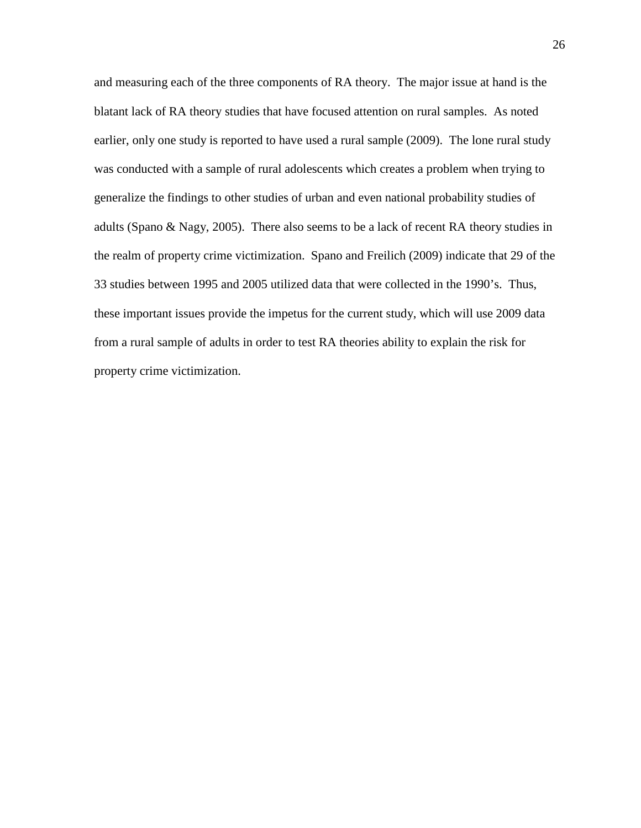and measuring each of the three components of RA theory. The major issue at hand is the blatant lack of RA theory studies that have focused attention on rural samples. As noted earlier, only one study is reported to have used a rural sample (2009). The lone rural study was conducted with a sample of rural adolescents which creates a problem when trying to generalize the findings to other studies of urban and even national probability studies of adults (Spano & Nagy, 2005). There also seems to be a lack of recent RA theory studies in the realm of property crime victimization. Spano and Freilich (2009) indicate that 29 of the 33 studies between 1995 and 2005 utilized data that were collected in the 1990's. Thus, these important issues provide the impetus for the current study, which will use 2009 data from a rural sample of adults in order to test RA theories ability to explain the risk for property crime victimization.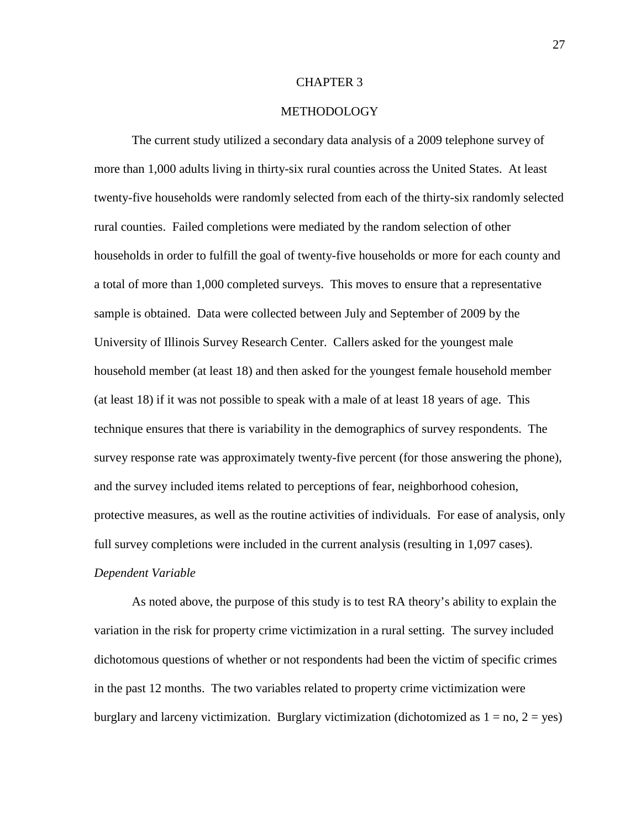#### CHAPTER 3

#### METHODOLOGY

The current study utilized a secondary data analysis of a 2009 telephone survey of more than 1,000 adults living in thirty-six rural counties across the United States. At least twenty-five households were randomly selected from each of the thirty-six randomly selected rural counties. Failed completions were mediated by the random selection of other households in order to fulfill the goal of twenty-five households or more for each county and a total of more than 1,000 completed surveys. This moves to ensure that a representative sample is obtained. Data were collected between July and September of 2009 by the University of Illinois Survey Research Center. Callers asked for the youngest male household member (at least 18) and then asked for the youngest female household member (at least 18) if it was not possible to speak with a male of at least 18 years of age. This technique ensures that there is variability in the demographics of survey respondents. The survey response rate was approximately twenty-five percent (for those answering the phone), and the survey included items related to perceptions of fear, neighborhood cohesion, protective measures, as well as the routine activities of individuals. For ease of analysis, only full survey completions were included in the current analysis (resulting in 1,097 cases). *Dependent Variable* 

As noted above, the purpose of this study is to test RA theory's ability to explain the variation in the risk for property crime victimization in a rural setting. The survey included dichotomous questions of whether or not respondents had been the victim of specific crimes in the past 12 months. The two variables related to property crime victimization were burglary and larceny victimization. Burglary victimization (dichotomized as  $1 = no$ ,  $2 = yes$ )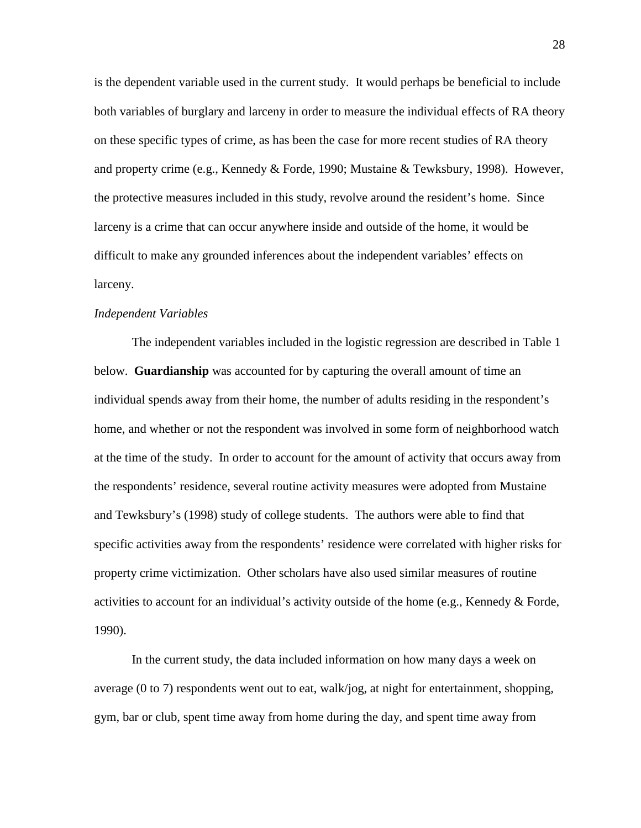is the dependent variable used in the current study. It would perhaps be beneficial to include both variables of burglary and larceny in order to measure the individual effects of RA theory on these specific types of crime, as has been the case for more recent studies of RA theory and property crime (e.g., Kennedy & Forde, 1990; Mustaine & Tewksbury, 1998). However, the protective measures included in this study, revolve around the resident's home. Since larceny is a crime that can occur anywhere inside and outside of the home, it would be difficult to make any grounded inferences about the independent variables' effects on larceny.

#### *Independent Variables*

The independent variables included in the logistic regression are described in Table 1 below. **Guardianship** was accounted for by capturing the overall amount of time an individual spends away from their home, the number of adults residing in the respondent's home, and whether or not the respondent was involved in some form of neighborhood watch at the time of the study. In order to account for the amount of activity that occurs away from the respondents' residence, several routine activity measures were adopted from Mustaine and Tewksbury's (1998) study of college students. The authors were able to find that specific activities away from the respondents' residence were correlated with higher risks for property crime victimization. Other scholars have also used similar measures of routine activities to account for an individual's activity outside of the home (e.g., Kennedy & Forde, 1990).

In the current study, the data included information on how many days a week on average (0 to 7) respondents went out to eat, walk/jog, at night for entertainment, shopping, gym, bar or club, spent time away from home during the day, and spent time away from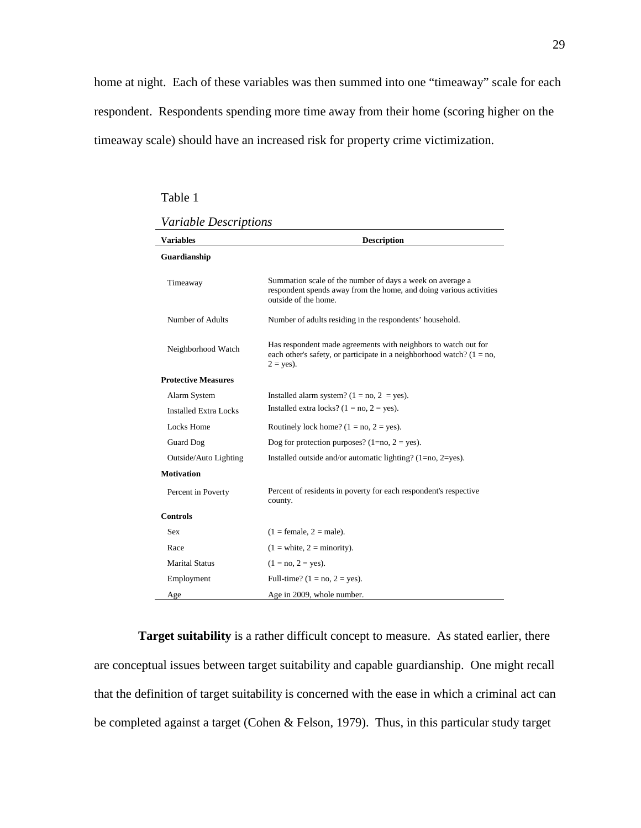home at night. Each of these variables was then summed into one "timeaway" scale for each respondent. Respondents spending more time away from their home (scoring higher on the timeaway scale) should have an increased risk for property crime victimization.

Table 1

| Variable Descriptions |
|-----------------------|
|-----------------------|

| <b>Variables</b>             | <b>Description</b>                                                                                                                                        |
|------------------------------|-----------------------------------------------------------------------------------------------------------------------------------------------------------|
| Guardianship                 |                                                                                                                                                           |
| Timeaway                     | Summation scale of the number of days a week on average a<br>respondent spends away from the home, and doing various activities<br>outside of the home.   |
| Number of Adults             | Number of adults residing in the respondents' household.                                                                                                  |
| Neighborhood Watch           | Has respondent made agreements with neighbors to watch out for<br>each other's safety, or participate in a neighborhood watch? $(1 = no,$<br>$2 = yes$ ). |
| <b>Protective Measures</b>   |                                                                                                                                                           |
| Alarm System                 | Installed alarm system? $(1 = no, 2 = yes)$ .                                                                                                             |
| <b>Installed Extra Locks</b> | Installed extra locks? $(1 = no, 2 = yes)$ .                                                                                                              |
| Locks Home                   | Routinely lock home? $(1 = no, 2 = yes)$ .                                                                                                                |
| <b>Guard Dog</b>             | Dog for protection purposes? $(1=no, 2 = yes)$ .                                                                                                          |
| Outside/Auto Lighting        | Installed outside and/or automatic lighting? $(1=no, 2=yes)$ .                                                                                            |
| <b>Motivation</b>            |                                                                                                                                                           |
| Percent in Poverty           | Percent of residents in poverty for each respondent's respective<br>county.                                                                               |
| <b>Controls</b>              |                                                                                                                                                           |
| <b>Sex</b>                   | $(1 = \text{female}, 2 = \text{male}).$                                                                                                                   |
| Race                         | $(1 = \text{white}, 2 = \text{minority}).$                                                                                                                |
| <b>Marital Status</b>        | $(1 = no, 2 = yes).$                                                                                                                                      |
| Employment                   | Full-time? $(1 = no, 2 = yes)$ .                                                                                                                          |
| Age                          | Age in 2009, whole number.                                                                                                                                |

 **Target suitability** is a rather difficult concept to measure. As stated earlier, there are conceptual issues between target suitability and capable guardianship. One might recall that the definition of target suitability is concerned with the ease in which a criminal act can be completed against a target (Cohen & Felson, 1979). Thus, in this particular study target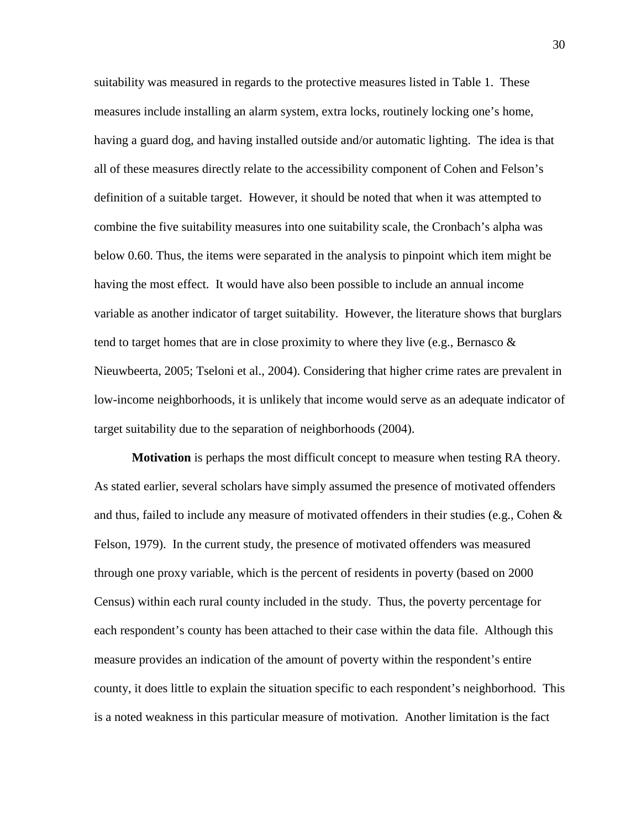suitability was measured in regards to the protective measures listed in Table 1. These measures include installing an alarm system, extra locks, routinely locking one's home, having a guard dog, and having installed outside and/or automatic lighting. The idea is that all of these measures directly relate to the accessibility component of Cohen and Felson's definition of a suitable target. However, it should be noted that when it was attempted to combine the five suitability measures into one suitability scale, the Cronbach's alpha was below 0.60. Thus, the items were separated in the analysis to pinpoint which item might be having the most effect. It would have also been possible to include an annual income variable as another indicator of target suitability. However, the literature shows that burglars tend to target homes that are in close proximity to where they live (e.g., Bernasco  $\&$ Nieuwbeerta, 2005; Tseloni et al., 2004). Considering that higher crime rates are prevalent in low-income neighborhoods, it is unlikely that income would serve as an adequate indicator of target suitability due to the separation of neighborhoods (2004).

**Motivation** is perhaps the most difficult concept to measure when testing RA theory. As stated earlier, several scholars have simply assumed the presence of motivated offenders and thus, failed to include any measure of motivated offenders in their studies (e.g., Cohen  $\&$ Felson, 1979). In the current study, the presence of motivated offenders was measured through one proxy variable, which is the percent of residents in poverty (based on 2000 Census) within each rural county included in the study. Thus, the poverty percentage for each respondent's county has been attached to their case within the data file. Although this measure provides an indication of the amount of poverty within the respondent's entire county, it does little to explain the situation specific to each respondent's neighborhood. This is a noted weakness in this particular measure of motivation. Another limitation is the fact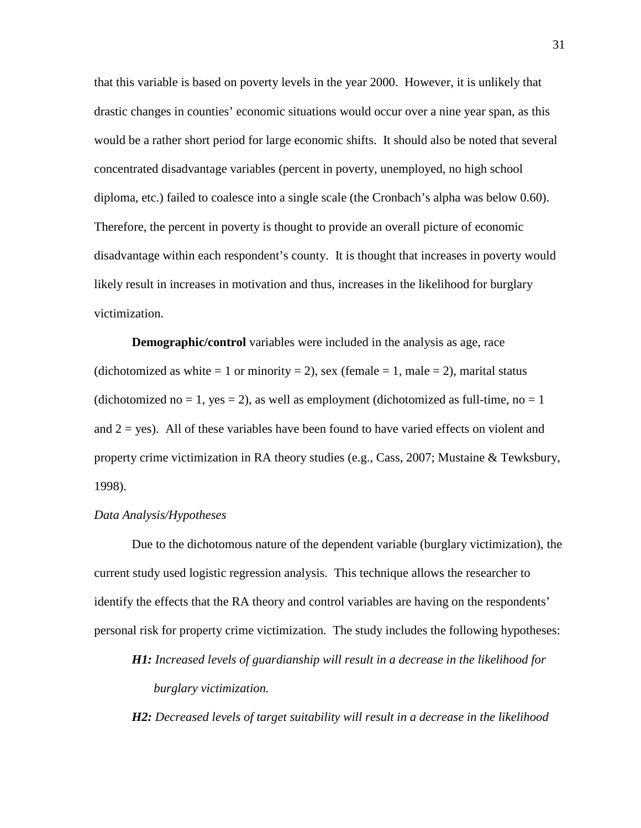that this variable is based on poverty levels in the year 2000. However, it is unlikely that drastic changes in counties' economic situations would occur over a nine year span, as this would be a rather short period for large economic shifts. It should also be noted that several concentrated disadvantage variables (percent in poverty, unemployed, no high school diploma, etc.) failed to coalesce into a single scale (the Cronbach's alpha was below 0.60). Therefore, the percent in poverty is thought to provide an overall picture of economic disadvantage within each respondent's county. It is thought that increases in poverty would likely result in increases in motivation and thus, increases in the likelihood for burglary victimization.

**Demographic/control** variables were included in the analysis as age, race (dichotomized as white = 1 or minority = 2), sex (female = 1, male = 2), marital status (dichotomized no = 1, yes = 2), as well as employment (dichotomized as full-time, no = 1 and  $2 = yes$ ). All of these variables have been found to have varied effects on violent and property crime victimization in RA theory studies (e.g., Cass, 2007; Mustaine & Tewksbury, 1998).

#### *Data Analysis/Hypotheses*

Due to the dichotomous nature of the dependent variable (burglary victimization), the current study used logistic regression analysis. This technique allows the researcher to identify the effects that the RA theory and control variables are having on the respondents' personal risk for property crime victimization. The study includes the following hypotheses:

*H1: Increased levels of guardianship will result in a decrease in the likelihood for burglary victimization.* 

*H2: Decreased levels of target suitability will result in a decrease in the likelihood*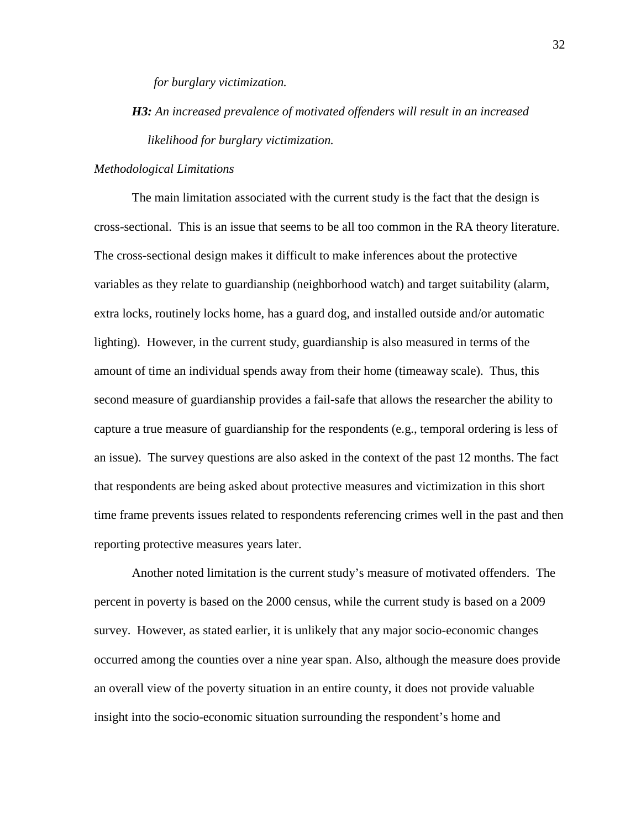*for burglary victimization.* 

*H3: An increased prevalence of motivated offenders will result in an increased likelihood for burglary victimization.* 

#### *Methodological Limitations*

The main limitation associated with the current study is the fact that the design is cross-sectional. This is an issue that seems to be all too common in the RA theory literature. The cross-sectional design makes it difficult to make inferences about the protective variables as they relate to guardianship (neighborhood watch) and target suitability (alarm, extra locks, routinely locks home, has a guard dog, and installed outside and/or automatic lighting). However, in the current study, guardianship is also measured in terms of the amount of time an individual spends away from their home (timeaway scale). Thus, this second measure of guardianship provides a fail-safe that allows the researcher the ability to capture a true measure of guardianship for the respondents (e.g., temporal ordering is less of an issue). The survey questions are also asked in the context of the past 12 months. The fact that respondents are being asked about protective measures and victimization in this short time frame prevents issues related to respondents referencing crimes well in the past and then reporting protective measures years later.

 Another noted limitation is the current study's measure of motivated offenders. The percent in poverty is based on the 2000 census, while the current study is based on a 2009 survey. However, as stated earlier, it is unlikely that any major socio-economic changes occurred among the counties over a nine year span. Also, although the measure does provide an overall view of the poverty situation in an entire county, it does not provide valuable insight into the socio-economic situation surrounding the respondent's home and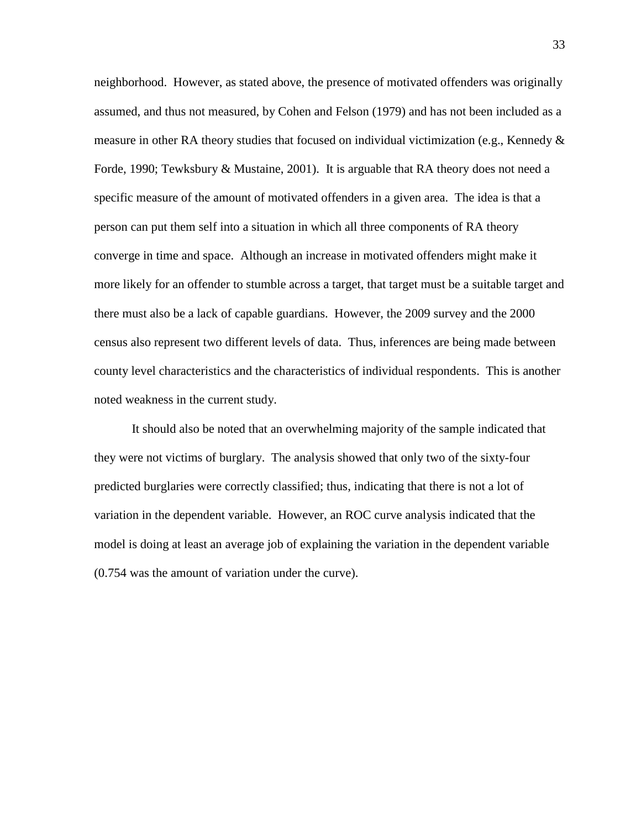neighborhood. However, as stated above, the presence of motivated offenders was originally assumed, and thus not measured, by Cohen and Felson (1979) and has not been included as a measure in other RA theory studies that focused on individual victimization (e.g., Kennedy  $\&$ Forde, 1990; Tewksbury & Mustaine, 2001). It is arguable that RA theory does not need a specific measure of the amount of motivated offenders in a given area. The idea is that a person can put them self into a situation in which all three components of RA theory converge in time and space. Although an increase in motivated offenders might make it more likely for an offender to stumble across a target, that target must be a suitable target and there must also be a lack of capable guardians. However, the 2009 survey and the 2000 census also represent two different levels of data. Thus, inferences are being made between county level characteristics and the characteristics of individual respondents. This is another noted weakness in the current study.

 It should also be noted that an overwhelming majority of the sample indicated that they were not victims of burglary. The analysis showed that only two of the sixty-four predicted burglaries were correctly classified; thus, indicating that there is not a lot of variation in the dependent variable. However, an ROC curve analysis indicated that the model is doing at least an average job of explaining the variation in the dependent variable (0.754 was the amount of variation under the curve).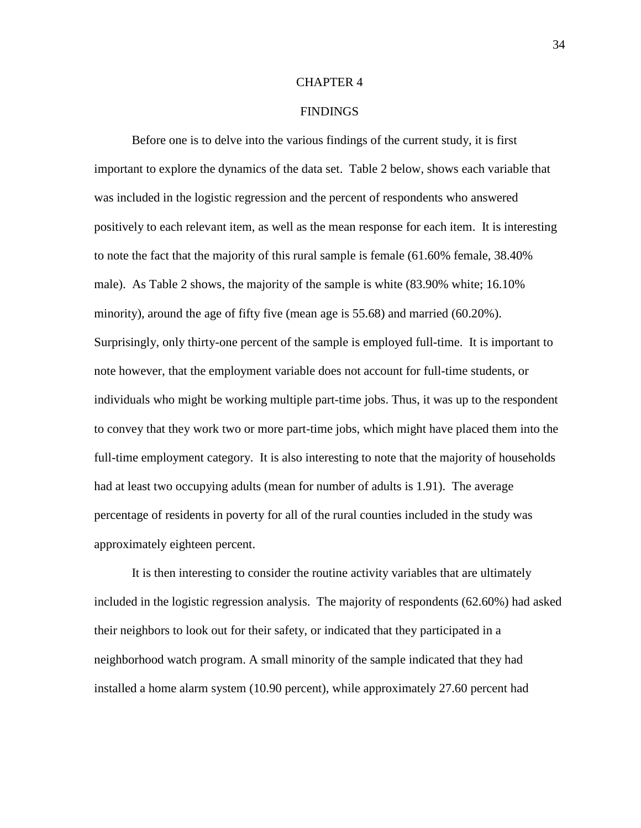#### CHAPTER 4

#### FINDINGS

Before one is to delve into the various findings of the current study, it is first important to explore the dynamics of the data set. Table 2 below, shows each variable that was included in the logistic regression and the percent of respondents who answered positively to each relevant item, as well as the mean response for each item. It is interesting to note the fact that the majority of this rural sample is female (61.60% female, 38.40% male). As Table 2 shows, the majority of the sample is white (83.90% white; 16.10% minority), around the age of fifty five (mean age is 55.68) and married (60.20%). Surprisingly, only thirty-one percent of the sample is employed full-time. It is important to note however, that the employment variable does not account for full-time students, or individuals who might be working multiple part-time jobs. Thus, it was up to the respondent to convey that they work two or more part-time jobs, which might have placed them into the full-time employment category. It is also interesting to note that the majority of households had at least two occupying adults (mean for number of adults is 1.91). The average percentage of residents in poverty for all of the rural counties included in the study was approximately eighteen percent.

It is then interesting to consider the routine activity variables that are ultimately included in the logistic regression analysis. The majority of respondents (62.60%) had asked their neighbors to look out for their safety, or indicated that they participated in a neighborhood watch program. A small minority of the sample indicated that they had installed a home alarm system (10.90 percent), while approximately 27.60 percent had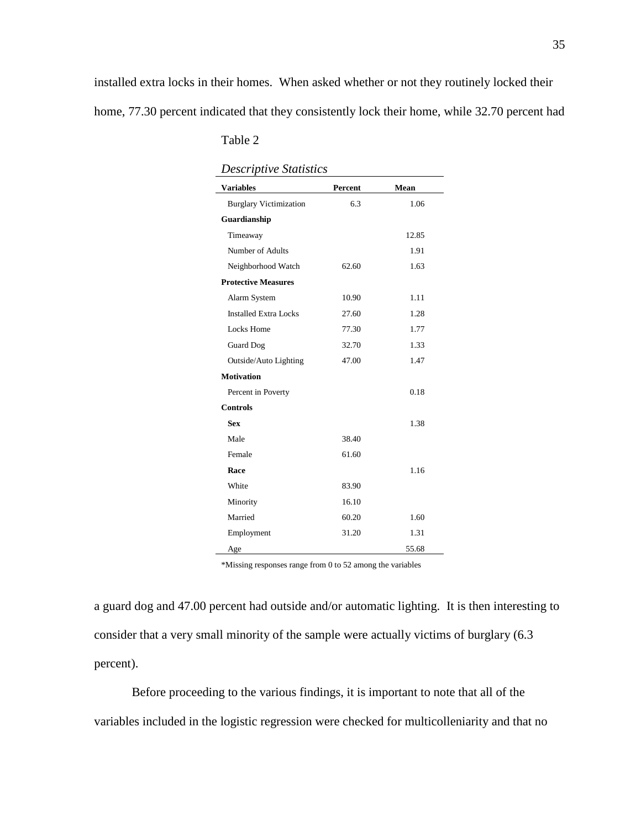| <b>Descriptive Statistics</b> |         |       |  |  |  |  |
|-------------------------------|---------|-------|--|--|--|--|
| <b>Variables</b>              | Percent | Mean  |  |  |  |  |
| <b>Burglary Victimization</b> | 6.3     | 1.06  |  |  |  |  |
| Guardianship                  |         |       |  |  |  |  |
| Timeaway                      |         | 12.85 |  |  |  |  |
| Number of Adults              |         | 1.91  |  |  |  |  |
| Neighborhood Watch            | 62.60   | 1.63  |  |  |  |  |
| <b>Protective Measures</b>    |         |       |  |  |  |  |
| Alarm System                  | 10.90   | 1.11  |  |  |  |  |
| <b>Installed Extra Locks</b>  | 27.60   | 1.28  |  |  |  |  |
| Locks Home                    | 77.30   | 1.77  |  |  |  |  |
| <b>Guard Dog</b>              | 32.70   | 1.33  |  |  |  |  |
| Outside/Auto Lighting         | 47.00   | 1.47  |  |  |  |  |
| <b>Motivation</b>             |         |       |  |  |  |  |
| Percent in Poverty            |         | 0.18  |  |  |  |  |
| <b>Controls</b>               |         |       |  |  |  |  |
| <b>Sex</b>                    |         | 1.38  |  |  |  |  |
| Male                          | 38.40   |       |  |  |  |  |
| Female                        | 61.60   |       |  |  |  |  |
| Race                          |         | 1.16  |  |  |  |  |
| White                         | 83.90   |       |  |  |  |  |
| Minority                      | 16.10   |       |  |  |  |  |
| Married                       | 60.20   | 1.60  |  |  |  |  |
| Employment                    | 31.20   | 1.31  |  |  |  |  |
| Age                           |         | 55.68 |  |  |  |  |

Table 2

\*Missing responses range from 0 to 52 among the variables

a guard dog and 47.00 percent had outside and/or automatic lighting. It is then interesting to consider that a very small minority of the sample were actually victims of burglary (6.3 percent).

 Before proceeding to the various findings, it is important to note that all of the variables included in the logistic regression were checked for multicolleniarity and that no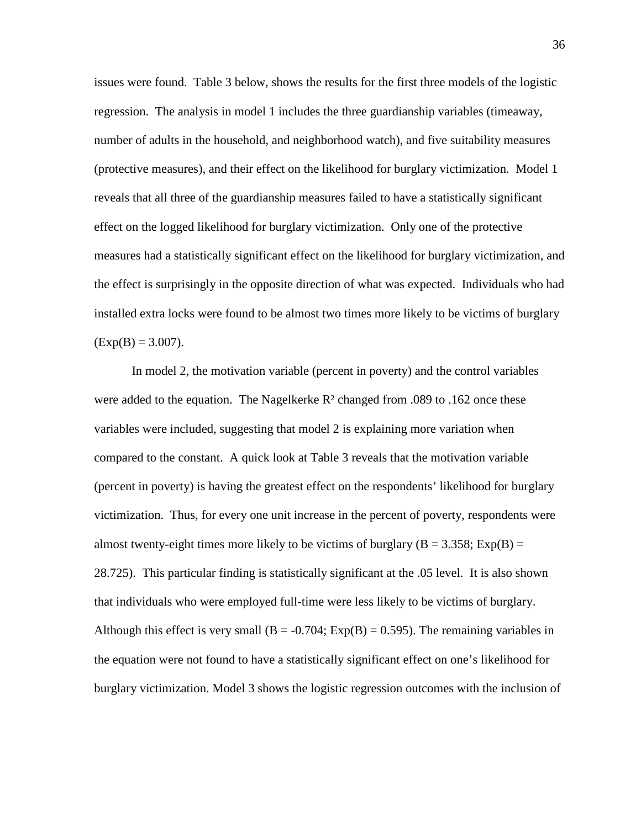issues were found. Table 3 below, shows the results for the first three models of the logistic regression. The analysis in model 1 includes the three guardianship variables (timeaway, number of adults in the household, and neighborhood watch), and five suitability measures (protective measures), and their effect on the likelihood for burglary victimization. Model 1 reveals that all three of the guardianship measures failed to have a statistically significant effect on the logged likelihood for burglary victimization. Only one of the protective measures had a statistically significant effect on the likelihood for burglary victimization, and the effect is surprisingly in the opposite direction of what was expected. Individuals who had installed extra locks were found to be almost two times more likely to be victims of burglary  $(Exp(B) = 3.007)$ .

 In model 2, the motivation variable (percent in poverty) and the control variables were added to the equation. The Nagelkerke  $R^2$  changed from .089 to .162 once these variables were included, suggesting that model 2 is explaining more variation when compared to the constant. A quick look at Table 3 reveals that the motivation variable (percent in poverty) is having the greatest effect on the respondents' likelihood for burglary victimization. Thus, for every one unit increase in the percent of poverty, respondents were almost twenty-eight times more likely to be victims of burglary ( $B = 3.358$ ; Exp(B) = 28.725). This particular finding is statistically significant at the .05 level. It is also shown that individuals who were employed full-time were less likely to be victims of burglary. Although this effect is very small  $(B = -0.704; Exp(B) = 0.595)$ . The remaining variables in the equation were not found to have a statistically significant effect on one's likelihood for burglary victimization. Model 3 shows the logistic regression outcomes with the inclusion of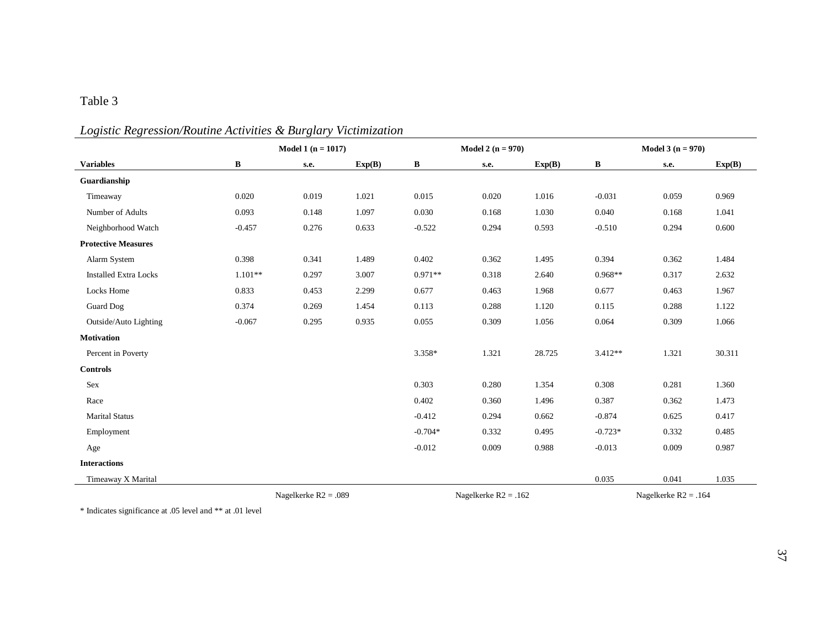# Table 3

# *Logistic Regression/Routine Activities & Burglary Victimization*

|                              | Model 1 $(n = 1017)$ |                        |        |           | Model 2 $(n = 970)$ |                        |        | Model $3(n = 970)$ |                        |        |
|------------------------------|----------------------|------------------------|--------|-----------|---------------------|------------------------|--------|--------------------|------------------------|--------|
| <b>Variables</b>             | B                    | s.e.                   | Exp(B) | B         | s.e.                |                        | Exp(B) | B                  | s.e.                   | Exp(B) |
| Guardianship                 |                      |                        |        |           |                     |                        |        |                    |                        |        |
| Timeaway                     | 0.020                | 0.019                  | 1.021  | 0.015     |                     | 0.020                  | 1.016  | $-0.031$           | 0.059                  | 0.969  |
| Number of Adults             | 0.093                | 0.148                  | 1.097  | 0.030     |                     | 0.168                  | 1.030  | 0.040              | 0.168                  | 1.041  |
| Neighborhood Watch           | $-0.457$             | 0.276                  | 0.633  | $-0.522$  |                     | 0.294                  | 0.593  | $-0.510$           | 0.294                  | 0.600  |
| <b>Protective Measures</b>   |                      |                        |        |           |                     |                        |        |                    |                        |        |
| Alarm System                 | 0.398                | 0.341                  | 1.489  | 0.402     |                     | 0.362                  | 1.495  | 0.394              | 0.362                  | 1.484  |
| <b>Installed Extra Locks</b> | $1.101**$            | 0.297                  | 3.007  | $0.971**$ |                     | 0.318                  | 2.640  | $0.968**$          | 0.317                  | 2.632  |
| Locks Home                   | 0.833                | 0.453                  | 2.299  | 0.677     |                     | 0.463                  | 1.968  | 0.677              | 0.463                  | 1.967  |
| <b>Guard Dog</b>             | 0.374                | 0.269                  | 1.454  | 0.113     |                     | 0.288                  | 1.120  | 0.115              | 0.288                  | 1.122  |
| Outside/Auto Lighting        | $-0.067$             | 0.295                  | 0.935  | 0.055     |                     | 0.309                  | 1.056  | 0.064              | 0.309                  | 1.066  |
| <b>Motivation</b>            |                      |                        |        |           |                     |                        |        |                    |                        |        |
| Percent in Poverty           |                      |                        |        | 3.358*    |                     | 1.321                  | 28.725 | 3.412**            | 1.321                  | 30.311 |
| <b>Controls</b>              |                      |                        |        |           |                     |                        |        |                    |                        |        |
| Sex                          |                      |                        |        | 0.303     |                     | 0.280                  | 1.354  | 0.308              | 0.281                  | 1.360  |
| Race                         |                      |                        |        | 0.402     |                     | 0.360                  | 1.496  | 0.387              | 0.362                  | 1.473  |
| <b>Marital Status</b>        |                      |                        |        | $-0.412$  |                     | 0.294                  | 0.662  | $-0.874$           | 0.625                  | 0.417  |
| Employment                   |                      |                        |        | $-0.704*$ |                     | 0.332                  | 0.495  | $-0.723*$          | 0.332                  | 0.485  |
| Age                          |                      |                        |        | $-0.012$  |                     | 0.009                  | 0.988  | $-0.013$           | 0.009                  | 0.987  |
| <b>Interactions</b>          |                      |                        |        |           |                     |                        |        |                    |                        |        |
| Timeaway X Marital           |                      |                        |        |           |                     |                        |        | 0.035              | 0.041                  | 1.035  |
|                              |                      | Nagelkerke $R2 = .089$ |        |           |                     | Nagelkerke $R2 = .162$ |        |                    | Nagelkerke $R2 = .164$ |        |

\* Indicates significance at .05 level and \*\* at .01 level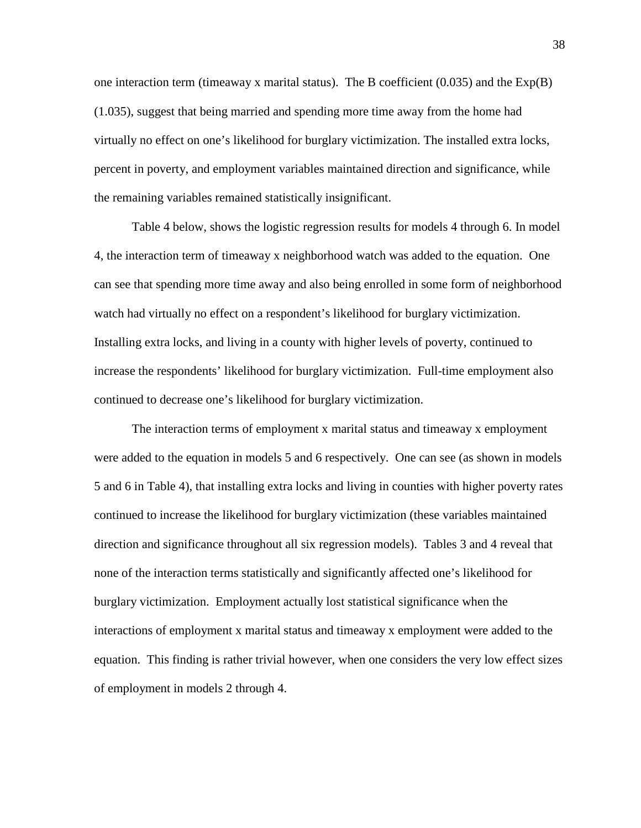one interaction term (timeaway x marital status). The B coefficient  $(0.035)$  and the  $Exp(B)$ (1.035), suggest that being married and spending more time away from the home had virtually no effect on one's likelihood for burglary victimization. The installed extra locks, percent in poverty, and employment variables maintained direction and significance, while the remaining variables remained statistically insignificant.

Table 4 below, shows the logistic regression results for models 4 through 6. In model 4, the interaction term of timeaway x neighborhood watch was added to the equation. One can see that spending more time away and also being enrolled in some form of neighborhood watch had virtually no effect on a respondent's likelihood for burglary victimization. Installing extra locks, and living in a county with higher levels of poverty, continued to increase the respondents' likelihood for burglary victimization. Full-time employment also continued to decrease one's likelihood for burglary victimization.

The interaction terms of employment x marital status and timeaway x employment were added to the equation in models 5 and 6 respectively. One can see (as shown in models 5 and 6 in Table 4), that installing extra locks and living in counties with higher poverty rates continued to increase the likelihood for burglary victimization (these variables maintained direction and significance throughout all six regression models). Tables 3 and 4 reveal that none of the interaction terms statistically and significantly affected one's likelihood for burglary victimization. Employment actually lost statistical significance when the interactions of employment x marital status and timeaway x employment were added to the equation. This finding is rather trivial however, when one considers the very low effect sizes of employment in models 2 through 4.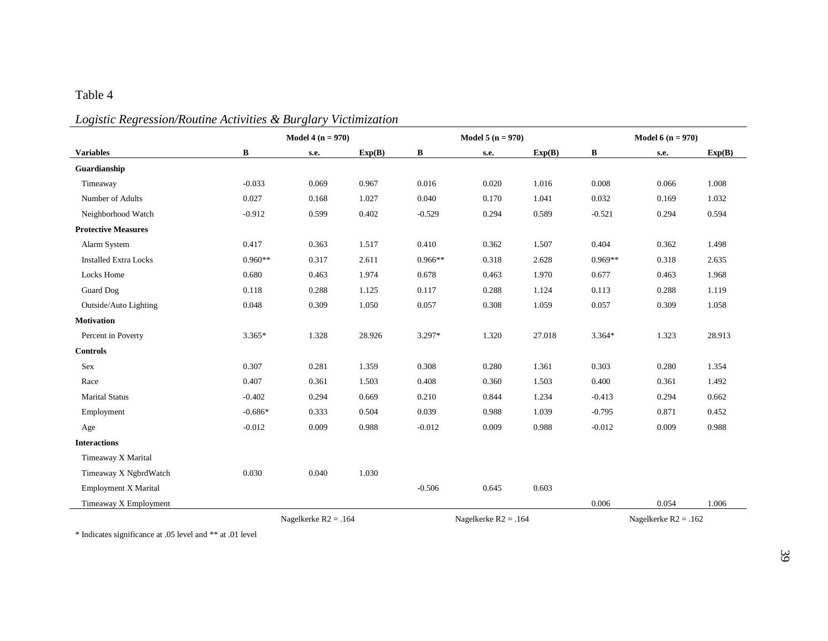# Table 4

| Logistic Regression/Routine Activities & Burglary Victimization |  |  |
|-----------------------------------------------------------------|--|--|
|                                                                 |  |  |

| <b>Variables</b>             | Model 4 ( $n = 970$ )  |       |        |              | Model 5 ( $n = 970$ )  |        |                        | Model 6 ( $n = 970$ ) |        |
|------------------------------|------------------------|-------|--------|--------------|------------------------|--------|------------------------|-----------------------|--------|
|                              | B                      | s.e.  | Exp(B) | $\, {\bf B}$ | s.e.                   | Exp(B) | $\bf{B}$               | s.e.                  | Exp(B) |
| Guardianship                 |                        |       |        |              |                        |        |                        |                       |        |
| Timeaway                     | $-0.033$               | 0.069 | 0.967  | 0.016        | 0.020                  | 1.016  | 0.008                  | 0.066                 | 1.008  |
| Number of Adults             | 0.027                  | 0.168 | 1.027  | 0.040        | 0.170                  | 1.041  | 0.032                  | 0.169                 | 1.032  |
| Neighborhood Watch           | $-0.912$               | 0.599 | 0.402  | $-0.529$     | 0.294                  | 0.589  | $-0.521$               | 0.294                 | 0.594  |
| <b>Protective Measures</b>   |                        |       |        |              |                        |        |                        |                       |        |
| Alarm System                 | 0.417                  | 0.363 | 1.517  | 0.410        | 0.362                  | 1.507  | 0.404                  | 0.362                 | 1.498  |
| <b>Installed Extra Locks</b> | $0.960**$              | 0.317 | 2.611  | $0.966**$    | 0.318                  | 2.628  | $0.969**$              | 0.318                 | 2.635  |
| Locks Home                   | 0.680                  | 0.463 | 1.974  | 0.678        | 0.463                  | 1.970  | 0.677                  | 0.463                 | 1.968  |
| <b>Guard Dog</b>             | 0.118                  | 0.288 | 1.125  | 0.117        | 0.288                  | 1.124  | 0.113                  | 0.288                 | 1.119  |
| Outside/Auto Lighting        | 0.048                  | 0.309 | 1.050  | 0.057        | 0.308                  | 1.059  | 0.057                  | 0.309                 | 1.058  |
| <b>Motivation</b>            |                        |       |        |              |                        |        |                        |                       |        |
| Percent in Poverty           | $3.365*$               | 1.328 | 28.926 | 3.297*       | 1.320                  | 27.018 | $3.364*$               | 1.323                 | 28.913 |
| <b>Controls</b>              |                        |       |        |              |                        |        |                        |                       |        |
| Sex                          | 0.307                  | 0.281 | 1.359  | 0.308        | 0.280                  | 1.361  | 0.303                  | 0.280                 | 1.354  |
| Race                         | 0.407                  | 0.361 | 1.503  | 0.408        | 0.360                  | 1.503  | 0.400                  | 0.361                 | 1.492  |
| <b>Marital Status</b>        | $-0.402$               | 0.294 | 0.669  | 0.210        | 0.844                  | 1.234  | $-0.413$               | 0.294                 | 0.662  |
| Employment                   | $-0.686*$              | 0.333 | 0.504  | 0.039        | 0.988                  | 1.039  | $-0.795$               | 0.871                 | 0.452  |
| Age                          | $-0.012$               | 0.009 | 0.988  | $-0.012$     | 0.009                  | 0.988  | $-0.012$               | 0.009                 | 0.988  |
| <b>Interactions</b>          |                        |       |        |              |                        |        |                        |                       |        |
| Timeaway X Marital           |                        |       |        |              |                        |        |                        |                       |        |
| Timeaway X NgbrdWatch        | 0.030                  | 0.040 | 1.030  |              |                        |        |                        |                       |        |
| Employment X Marital         |                        |       |        | $-0.506$     | 0.645                  | 0.603  |                        |                       |        |
| Timeaway X Employment        |                        |       |        |              |                        |        | 0.006                  | 0.054                 | 1.006  |
|                              | Nagelkerke $R2 = .164$ |       |        |              | Nagelkerke $R2 = .164$ |        | Nagelkerke $R2 = .162$ |                       |        |

\* Indicates significance at .05 level and \*\* at .01 level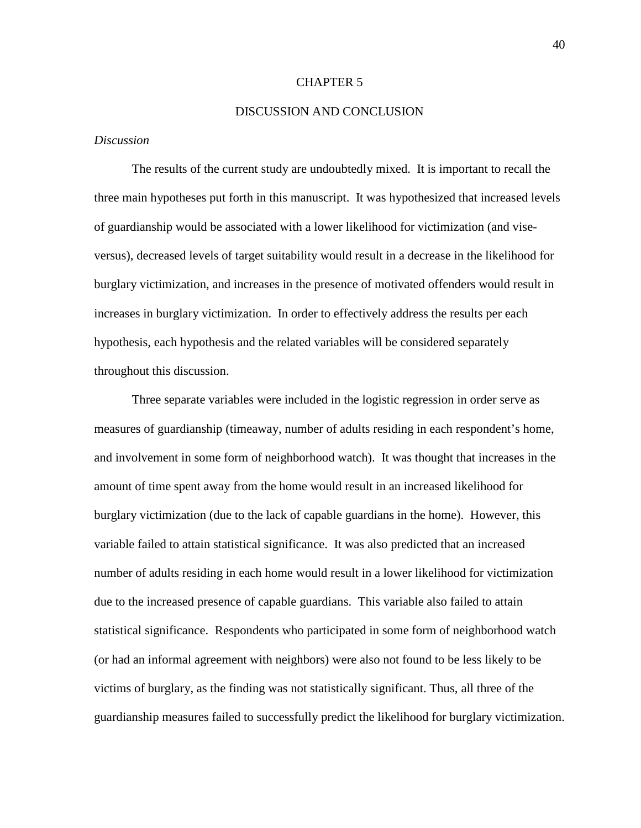#### CHAPTER 5

#### DISCUSSION AND CONCLUSION

#### *Discussion*

The results of the current study are undoubtedly mixed. It is important to recall the three main hypotheses put forth in this manuscript. It was hypothesized that increased levels of guardianship would be associated with a lower likelihood for victimization (and viseversus), decreased levels of target suitability would result in a decrease in the likelihood for burglary victimization, and increases in the presence of motivated offenders would result in increases in burglary victimization. In order to effectively address the results per each hypothesis, each hypothesis and the related variables will be considered separately throughout this discussion.

 Three separate variables were included in the logistic regression in order serve as measures of guardianship (timeaway, number of adults residing in each respondent's home, and involvement in some form of neighborhood watch). It was thought that increases in the amount of time spent away from the home would result in an increased likelihood for burglary victimization (due to the lack of capable guardians in the home). However, this variable failed to attain statistical significance. It was also predicted that an increased number of adults residing in each home would result in a lower likelihood for victimization due to the increased presence of capable guardians. This variable also failed to attain statistical significance. Respondents who participated in some form of neighborhood watch (or had an informal agreement with neighbors) were also not found to be less likely to be victims of burglary, as the finding was not statistically significant. Thus, all three of the guardianship measures failed to successfully predict the likelihood for burglary victimization.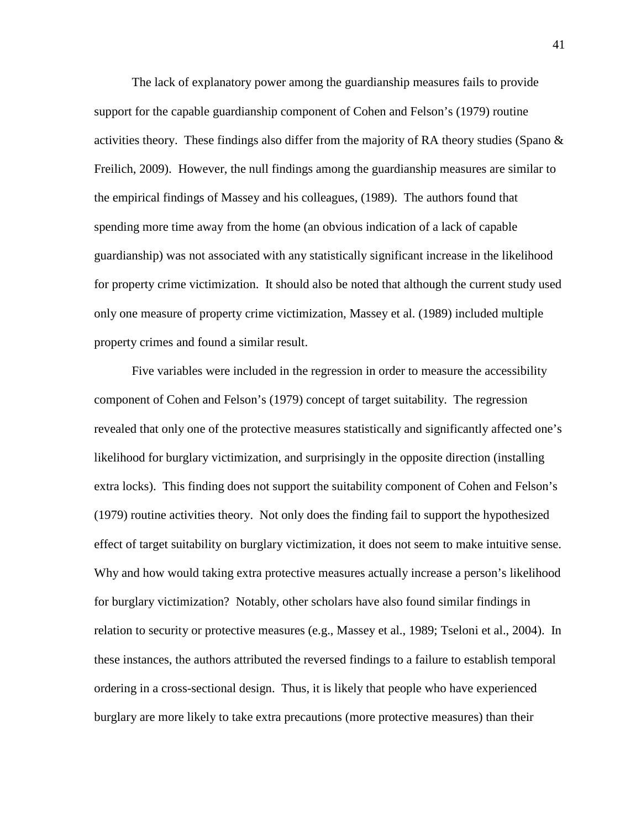The lack of explanatory power among the guardianship measures fails to provide support for the capable guardianship component of Cohen and Felson's (1979) routine activities theory. These findings also differ from the majority of RA theory studies (Spano  $\&$ Freilich, 2009). However, the null findings among the guardianship measures are similar to the empirical findings of Massey and his colleagues, (1989). The authors found that spending more time away from the home (an obvious indication of a lack of capable guardianship) was not associated with any statistically significant increase in the likelihood for property crime victimization. It should also be noted that although the current study used only one measure of property crime victimization, Massey et al. (1989) included multiple property crimes and found a similar result.

 Five variables were included in the regression in order to measure the accessibility component of Cohen and Felson's (1979) concept of target suitability. The regression revealed that only one of the protective measures statistically and significantly affected one's likelihood for burglary victimization, and surprisingly in the opposite direction (installing extra locks). This finding does not support the suitability component of Cohen and Felson's (1979) routine activities theory. Not only does the finding fail to support the hypothesized effect of target suitability on burglary victimization, it does not seem to make intuitive sense. Why and how would taking extra protective measures actually increase a person's likelihood for burglary victimization? Notably, other scholars have also found similar findings in relation to security or protective measures (e.g., Massey et al., 1989; Tseloni et al., 2004). In these instances, the authors attributed the reversed findings to a failure to establish temporal ordering in a cross-sectional design. Thus, it is likely that people who have experienced burglary are more likely to take extra precautions (more protective measures) than their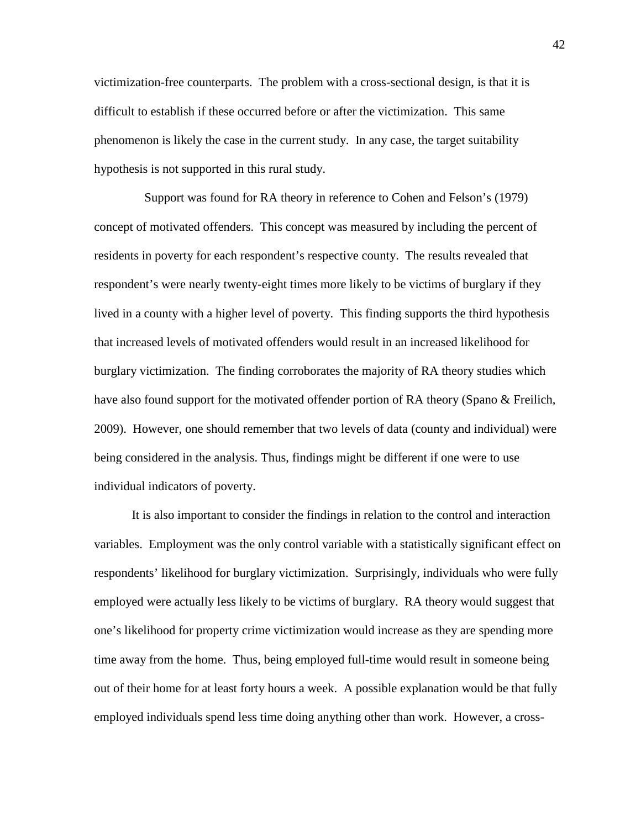victimization-free counterparts. The problem with a cross-sectional design, is that it is difficult to establish if these occurred before or after the victimization. This same phenomenon is likely the case in the current study. In any case, the target suitability hypothesis is not supported in this rural study.

 Support was found for RA theory in reference to Cohen and Felson's (1979) concept of motivated offenders. This concept was measured by including the percent of residents in poverty for each respondent's respective county. The results revealed that respondent's were nearly twenty-eight times more likely to be victims of burglary if they lived in a county with a higher level of poverty. This finding supports the third hypothesis that increased levels of motivated offenders would result in an increased likelihood for burglary victimization. The finding corroborates the majority of RA theory studies which have also found support for the motivated offender portion of RA theory (Spano & Freilich, 2009). However, one should remember that two levels of data (county and individual) were being considered in the analysis. Thus, findings might be different if one were to use individual indicators of poverty.

 It is also important to consider the findings in relation to the control and interaction variables. Employment was the only control variable with a statistically significant effect on respondents' likelihood for burglary victimization. Surprisingly, individuals who were fully employed were actually less likely to be victims of burglary. RA theory would suggest that one's likelihood for property crime victimization would increase as they are spending more time away from the home. Thus, being employed full-time would result in someone being out of their home for at least forty hours a week. A possible explanation would be that fully employed individuals spend less time doing anything other than work. However, a cross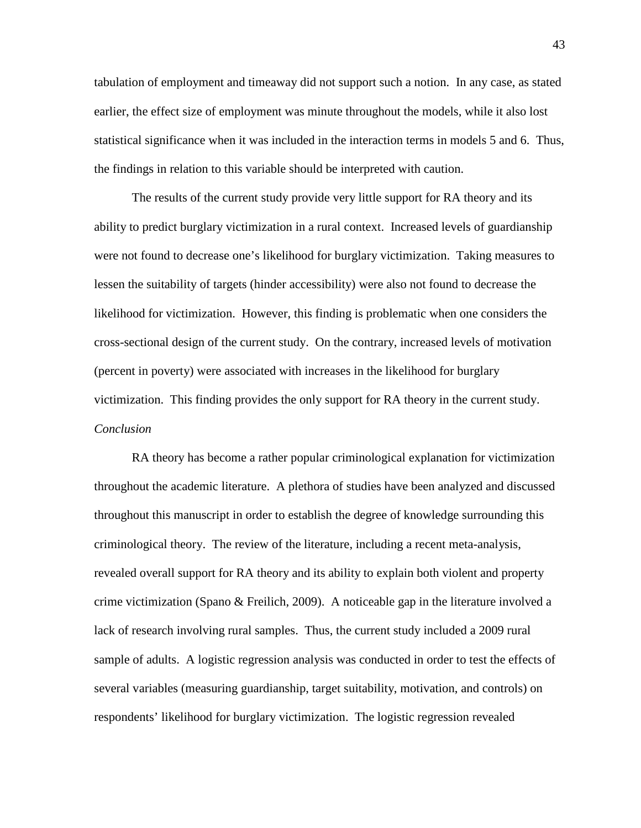tabulation of employment and timeaway did not support such a notion. In any case, as stated earlier, the effect size of employment was minute throughout the models, while it also lost statistical significance when it was included in the interaction terms in models 5 and 6. Thus, the findings in relation to this variable should be interpreted with caution.

 The results of the current study provide very little support for RA theory and its ability to predict burglary victimization in a rural context. Increased levels of guardianship were not found to decrease one's likelihood for burglary victimization. Taking measures to lessen the suitability of targets (hinder accessibility) were also not found to decrease the likelihood for victimization. However, this finding is problematic when one considers the cross-sectional design of the current study. On the contrary, increased levels of motivation (percent in poverty) were associated with increases in the likelihood for burglary victimization. This finding provides the only support for RA theory in the current study. *Conclusion* 

 RA theory has become a rather popular criminological explanation for victimization throughout the academic literature. A plethora of studies have been analyzed and discussed throughout this manuscript in order to establish the degree of knowledge surrounding this criminological theory. The review of the literature, including a recent meta-analysis, revealed overall support for RA theory and its ability to explain both violent and property crime victimization (Spano & Freilich, 2009). A noticeable gap in the literature involved a lack of research involving rural samples. Thus, the current study included a 2009 rural sample of adults. A logistic regression analysis was conducted in order to test the effects of several variables (measuring guardianship, target suitability, motivation, and controls) on respondents' likelihood for burglary victimization. The logistic regression revealed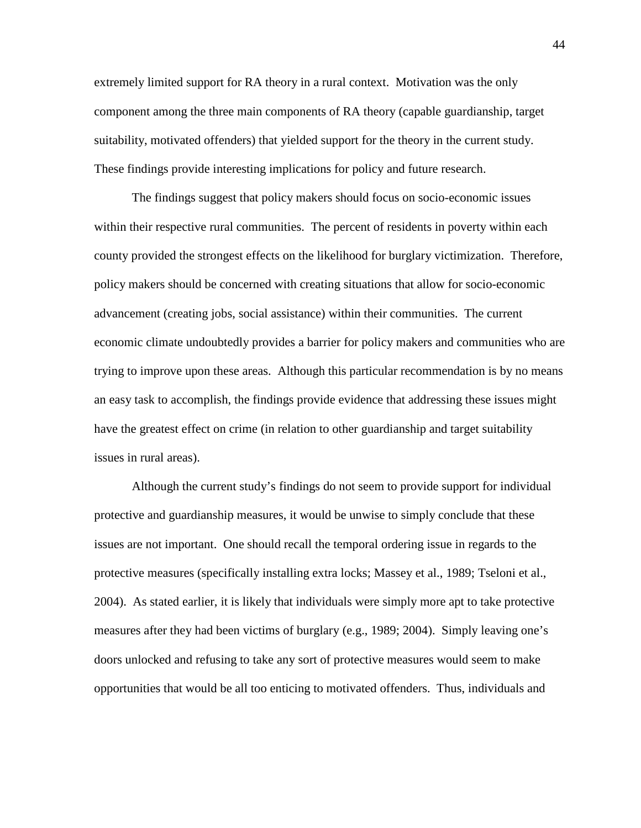extremely limited support for RA theory in a rural context. Motivation was the only component among the three main components of RA theory (capable guardianship, target suitability, motivated offenders) that yielded support for the theory in the current study. These findings provide interesting implications for policy and future research.

 The findings suggest that policy makers should focus on socio-economic issues within their respective rural communities. The percent of residents in poverty within each county provided the strongest effects on the likelihood for burglary victimization. Therefore, policy makers should be concerned with creating situations that allow for socio-economic advancement (creating jobs, social assistance) within their communities. The current economic climate undoubtedly provides a barrier for policy makers and communities who are trying to improve upon these areas. Although this particular recommendation is by no means an easy task to accomplish, the findings provide evidence that addressing these issues might have the greatest effect on crime (in relation to other guardianship and target suitability issues in rural areas).

 Although the current study's findings do not seem to provide support for individual protective and guardianship measures, it would be unwise to simply conclude that these issues are not important. One should recall the temporal ordering issue in regards to the protective measures (specifically installing extra locks; Massey et al., 1989; Tseloni et al., 2004). As stated earlier, it is likely that individuals were simply more apt to take protective measures after they had been victims of burglary (e.g., 1989; 2004). Simply leaving one's doors unlocked and refusing to take any sort of protective measures would seem to make opportunities that would be all too enticing to motivated offenders. Thus, individuals and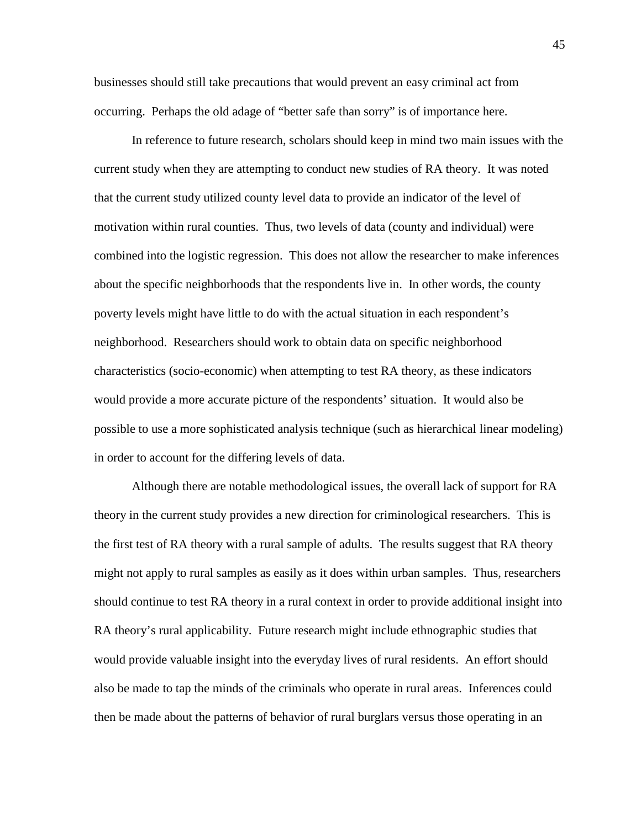businesses should still take precautions that would prevent an easy criminal act from occurring. Perhaps the old adage of "better safe than sorry" is of importance here.

 In reference to future research, scholars should keep in mind two main issues with the current study when they are attempting to conduct new studies of RA theory. It was noted that the current study utilized county level data to provide an indicator of the level of motivation within rural counties. Thus, two levels of data (county and individual) were combined into the logistic regression. This does not allow the researcher to make inferences about the specific neighborhoods that the respondents live in. In other words, the county poverty levels might have little to do with the actual situation in each respondent's neighborhood. Researchers should work to obtain data on specific neighborhood characteristics (socio-economic) when attempting to test RA theory, as these indicators would provide a more accurate picture of the respondents' situation. It would also be possible to use a more sophisticated analysis technique (such as hierarchical linear modeling) in order to account for the differing levels of data.

 Although there are notable methodological issues, the overall lack of support for RA theory in the current study provides a new direction for criminological researchers. This is the first test of RA theory with a rural sample of adults. The results suggest that RA theory might not apply to rural samples as easily as it does within urban samples. Thus, researchers should continue to test RA theory in a rural context in order to provide additional insight into RA theory's rural applicability. Future research might include ethnographic studies that would provide valuable insight into the everyday lives of rural residents. An effort should also be made to tap the minds of the criminals who operate in rural areas. Inferences could then be made about the patterns of behavior of rural burglars versus those operating in an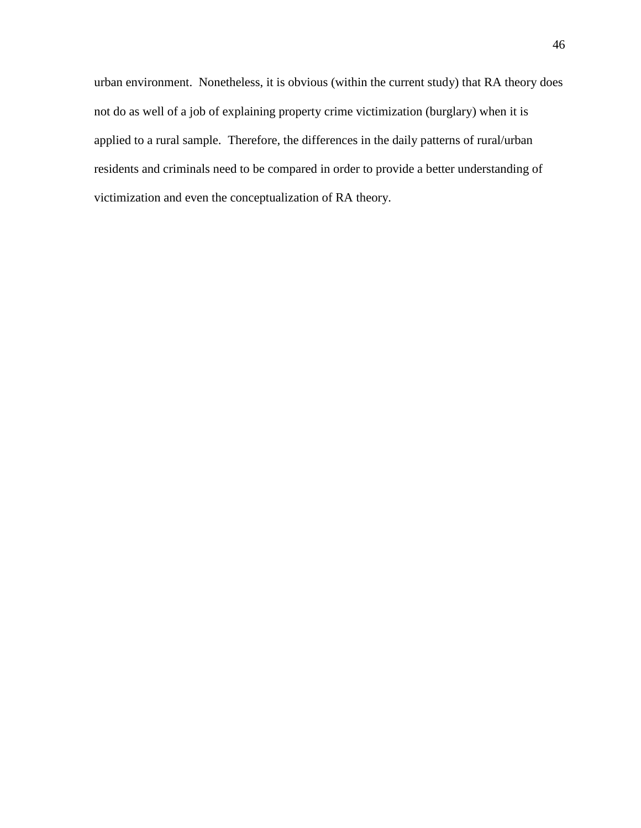urban environment. Nonetheless, it is obvious (within the current study) that RA theory does not do as well of a job of explaining property crime victimization (burglary) when it is applied to a rural sample. Therefore, the differences in the daily patterns of rural/urban residents and criminals need to be compared in order to provide a better understanding of victimization and even the conceptualization of RA theory.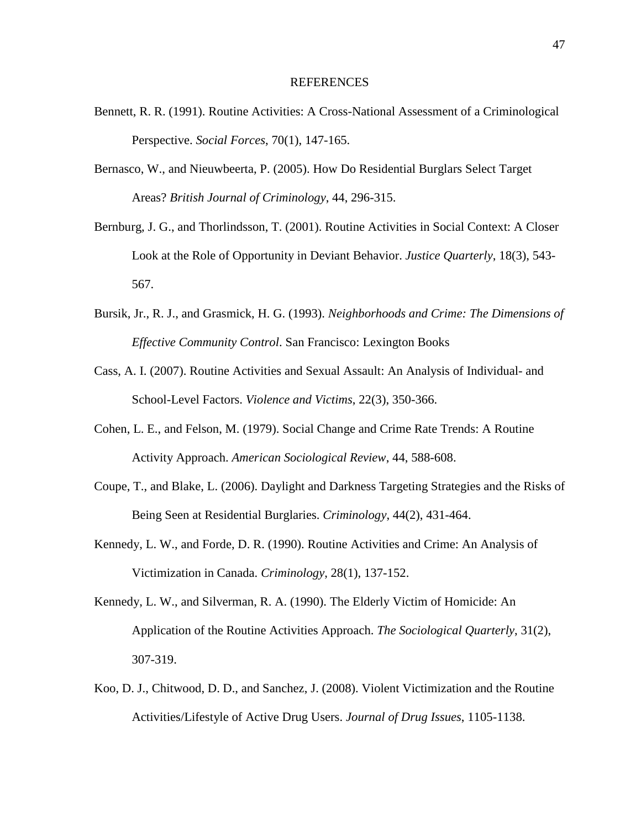#### REFERENCES

- Bennett, R. R. (1991). Routine Activities: A Cross-National Assessment of a Criminological Perspective. *Social Forces*, 70(1), 147-165.
- Bernasco, W., and Nieuwbeerta, P. (2005). How Do Residential Burglars Select Target Areas? *British Journal of Criminology*, 44, 296-315.
- Bernburg, J. G., and Thorlindsson, T. (2001). Routine Activities in Social Context: A Closer Look at the Role of Opportunity in Deviant Behavior. *Justice Quarterly*, 18(3), 543- 567.
- Bursik, Jr., R. J., and Grasmick, H. G. (1993). *Neighborhoods and Crime: The Dimensions of Effective Community Control*. San Francisco: Lexington Books
- Cass, A. I. (2007). Routine Activities and Sexual Assault: An Analysis of Individual- and School-Level Factors. *Violence and Victims*, 22(3), 350-366.
- Cohen, L. E., and Felson, M. (1979). Social Change and Crime Rate Trends: A Routine Activity Approach. *American Sociological Review*, 44, 588-608.
- Coupe, T., and Blake, L. (2006). Daylight and Darkness Targeting Strategies and the Risks of Being Seen at Residential Burglaries. *Criminology*, 44(2), 431-464.
- Kennedy, L. W., and Forde, D. R. (1990). Routine Activities and Crime: An Analysis of Victimization in Canada. *Criminology*, 28(1), 137-152.
- Kennedy, L. W., and Silverman, R. A. (1990). The Elderly Victim of Homicide: An Application of the Routine Activities Approach. *The Sociological Quarterly*, 31(2), 307-319.
- Koo, D. J., Chitwood, D. D., and Sanchez, J. (2008). Violent Victimization and the Routine Activities/Lifestyle of Active Drug Users. *Journal of Drug Issues*, 1105-1138.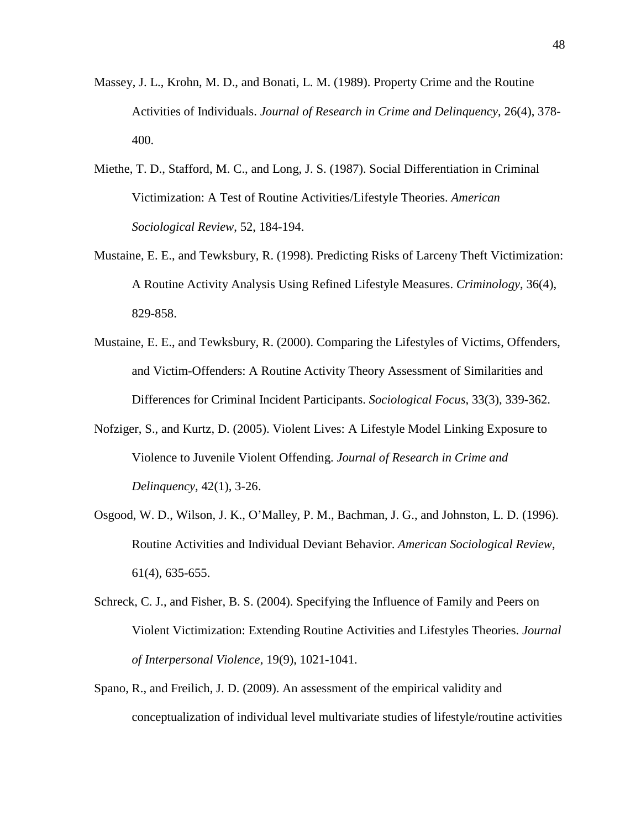- Massey, J. L., Krohn, M. D., and Bonati, L. M. (1989). Property Crime and the Routine Activities of Individuals. *Journal of Research in Crime and Delinquency*, 26(4), 378- 400.
- Miethe, T. D., Stafford, M. C., and Long, J. S. (1987). Social Differentiation in Criminal Victimization: A Test of Routine Activities/Lifestyle Theories. *American Sociological Review*, 52, 184-194.
- Mustaine, E. E., and Tewksbury, R. (1998). Predicting Risks of Larceny Theft Victimization: A Routine Activity Analysis Using Refined Lifestyle Measures. *Criminology*, 36(4), 829-858.
- Mustaine, E. E., and Tewksbury, R. (2000). Comparing the Lifestyles of Victims, Offenders, and Victim-Offenders: A Routine Activity Theory Assessment of Similarities and Differences for Criminal Incident Participants. *Sociological Focus*, 33(3), 339-362.
- Nofziger, S., and Kurtz, D. (2005). Violent Lives: A Lifestyle Model Linking Exposure to Violence to Juvenile Violent Offending. *Journal of Research in Crime and Delinquency*, 42(1), 3-26.
- Osgood, W. D., Wilson, J. K., O'Malley, P. M., Bachman, J. G., and Johnston, L. D. (1996). Routine Activities and Individual Deviant Behavior. *American Sociological Review*, 61(4), 635-655.
- Schreck, C. J., and Fisher, B. S. (2004). Specifying the Influence of Family and Peers on Violent Victimization: Extending Routine Activities and Lifestyles Theories. *Journal of Interpersonal Violence*, 19(9), 1021-1041.
- Spano, R., and Freilich, J. D. (2009). An assessment of the empirical validity and conceptualization of individual level multivariate studies of lifestyle/routine activities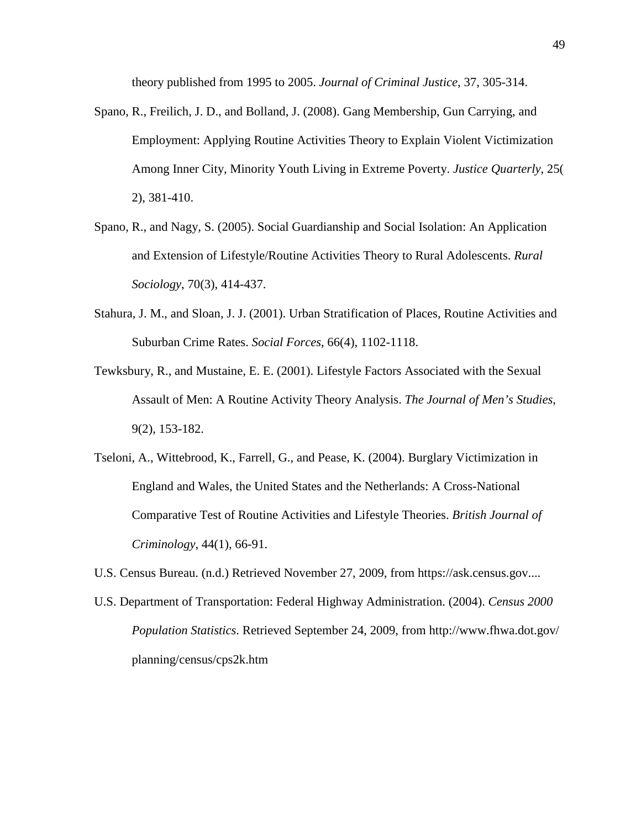theory published from 1995 to 2005. *Journal of Criminal Justice*, 37, 305-314.

- Spano, R., Freilich, J. D., and Bolland, J. (2008). Gang Membership, Gun Carrying, and Employment: Applying Routine Activities Theory to Explain Violent Victimization Among Inner City, Minority Youth Living in Extreme Poverty. *Justice Quarterly*, 25( 2), 381-410.
- Spano, R., and Nagy, S. (2005). Social Guardianship and Social Isolation: An Application and Extension of Lifestyle/Routine Activities Theory to Rural Adolescents. *Rural Sociology*, 70(3), 414-437.
- Stahura, J. M., and Sloan, J. J. (2001). Urban Stratification of Places, Routine Activities and Suburban Crime Rates. *Social Forces*, 66(4), 1102-1118.
- Tewksbury, R., and Mustaine, E. E. (2001). Lifestyle Factors Associated with the Sexual Assault of Men: A Routine Activity Theory Analysis. *The Journal of Men's Studies*, 9(2), 153-182.
- Tseloni, A., Wittebrood, K., Farrell, G., and Pease, K. (2004). Burglary Victimization in England and Wales, the United States and the Netherlands: A Cross-National Comparative Test of Routine Activities and Lifestyle Theories. *British Journal of Criminology*, 44(1), 66-91.
- U.S. Census Bureau. (n.d.) Retrieved November 27, 2009, from https://ask.census.gov....
- U.S. Department of Transportation: Federal Highway Administration. (2004). *Census 2000 Population Statistics*. Retrieved September 24, 2009, from http://www.fhwa.dot.gov/ planning/census/cps2k.htm